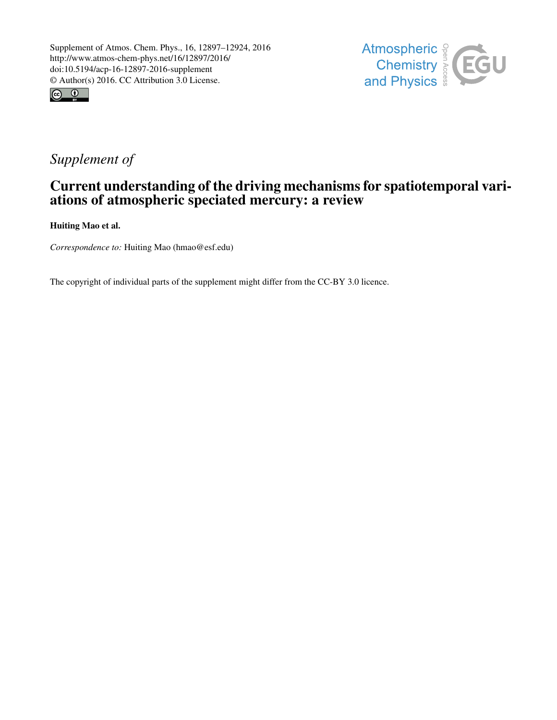



## *Supplement of*

## Current understanding of the driving mechanisms for spatiotemporal variations of atmospheric speciated mercury: a review

Huiting Mao et al.

*Correspondence to:* Huiting Mao (hmao@esf.edu)

The copyright of individual parts of the supplement might differ from the CC-BY 3.0 licence.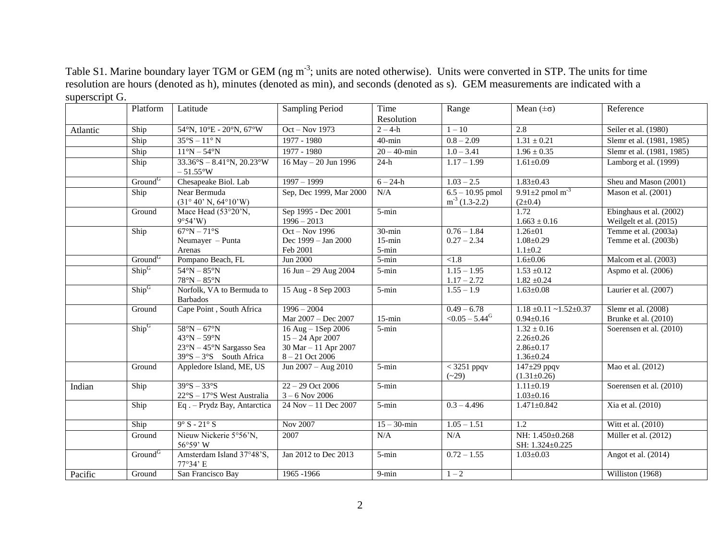Platform Latitude Sampling Period Time Resolution Range Mean  $(\pm \sigma)$  Reference Atlantic Ship 54°N, 10°E - 20°N, 67°W Oct – Nov 1973 2 – 4-h 1 – 10 2.8 Seiler et al. (1980) Ship 35°S – 11° N 1977 - 1980 40-min 0.8 – 2.09 1.31 ± 0.21 Slemr et al. (1981, 1985) Ship 11°N – 54°N 1977 - 1980 20 – 40-min 1.0 – 3.41 1.96 ± 0.35 Slemr et al. (1981, 1985) Ship  $33.36^{\circ}S - 8.41^{\circ}N$ ,  $20.23^{\circ}W$  $-51.55^{\circ}$ W  $16 \text{ May} - 20 \text{ Jun } 1996$   $24-h$   $1.17-1.99$   $1.61\pm0.09$  Lamborg et al. (1999) Ground<sup>G</sup> Chesapeake Biol. Lab 1997 – 1999 6 – 24-h 1.03 – 2.5 1.83±0.43 Sheu and Mason (2001) Ship Near Bermuda (31° 40' N, 64°10'W) Sep, Dec 1999, Mar 2000  $N/A$  6.5 – 10.95 pmol  $m<sup>-3</sup>$  (1.3-2.2) 9.91+2 pmol  $m^{-3}$  $(2\pm 0.4)$ Mason et al. (2001) Ground Mace Head (53°20'N, 9°54'W) Sep 1995 - Dec 2001 1996 – 2013 5-min 1.72  $1.663 \pm 0.16$ Ebinghaus et al. (2002) Weilgelt et al. (2015) Ship  $67^\circ N - 71^\circ S$ Neumayer – Punta Arenas Oct – Nov 1996 Dec 1999 – Jan 2000 Feb 2001 30-min 15-min 5-min  $0.76 - 1.84$  $0.27 - 2.34$ 1.26±01 1.08±0.29  $1.1 \pm 0.2$ Temme et al. (2003a) Temme et al. (2003b) Ground<sup>G</sup> Pompano Beach, FL Jun 2000 5-min <1.8 1.6 $\pm$ 0.06 Malcom et al. (2003) Ship<sup>G</sup>  $54^{\circ}N - 85^{\circ}N$  $78^\circ N - 85^\circ N$ 16 Jun – 29 Aug 2004 5-min 1.15 – 1.95  $1.17 - 2.72$  $1.53 \pm 0.12$  $1.82 \pm 0.24$ Aspmo et al. (2006) Ship<sup>G</sup> Norfolk, VA to Bermuda to Barbados 15 Aug - 8 Sep 2003 5-min 1.55 – 1.9 1.63±0.08 Laurier et al. (2007) Ground Cape Point, South Africa 1996 – 2004 Mar  $2007 - Dec 2007$  15-min  $0.49 - 6.78$  $<$ 0.05 – 5.44<sup>G</sup>  $1.18 \pm 0.11 \sim 1.52 \pm 0.37$  $0.94+0.16$ Slemr et al. (2008) Brunke et al. (2010) Ship<sup>G</sup> 58°N – 67°N 43°N – 59°N 23°N – 45°N Sargasso Sea  $39^{\circ}S - 3^{\circ}S$  South Africa 16 Aug – 1Sep 2006 15 – 24 Apr 2007 30 Mar – 11 Apr 2007 8 – 21 Oct 2006 5-min  $1.32 \pm 0.16$ 2.26±0.26 2.86±0.17 1.36±0.24 Soerensen et al. (2010) Ground | Appledore Island, ME, US | Jun  $2007 - Aug$   $2010$  | 5-min | < 3251 ppqv  $(-29)$  $147\pm29$  ppqv  $(1.31\pm0.26)$ Mao et al. (2012) Indian Ship  $39^{\circ}S - 33^{\circ}S$ 22°S – 17°S West Australia 22 – 29 Oct 2006  $3 - 6$  Nov 2006  $5\text{-min}$  1.11 $\pm$ 0.19  $1.03 \pm 0.16$ Soerensen et al. (2010) Ship Eq . – Prydz Bay, Antarctica 24 Nov – 11 Dec 2007 5-min 0.3 – 4.496 1.471±0.842 Xia et al. (2010) Ship  $9^{\circ}$  S - 21° S  $\big)$  Nov 2007 15 – 30-min 1.05 – 1.51 1.2 Witt et al. (2010) Ground Nieuw Nickerie 5°56'N, 56°59' W 2007 N/A N/A N/A NH: 1.450±0.268 SH: 1.324±0.225 Müller et al. (2012) Ground<sup>G</sup> Amsterdam Island  $37^{\circ}48^{\circ}$ S, 77°34' E Jan 2012 to Dec 2013 5-min 0.72 – 1.55 1.03±0.03 Angot et al. (2014) Pacific Ground San Francisco Bay 1965 -1966 9-min 1 – 2 | Williston (1968)

Table S1. Marine boundary layer TGM or GEM (ng m<sup>-3</sup>; units are noted otherwise). Units were converted in STP. The units for time resolution are hours (denoted as h), minutes (denoted as min), and seconds (denoted as s). GEM measurements are indicated with a superscript G.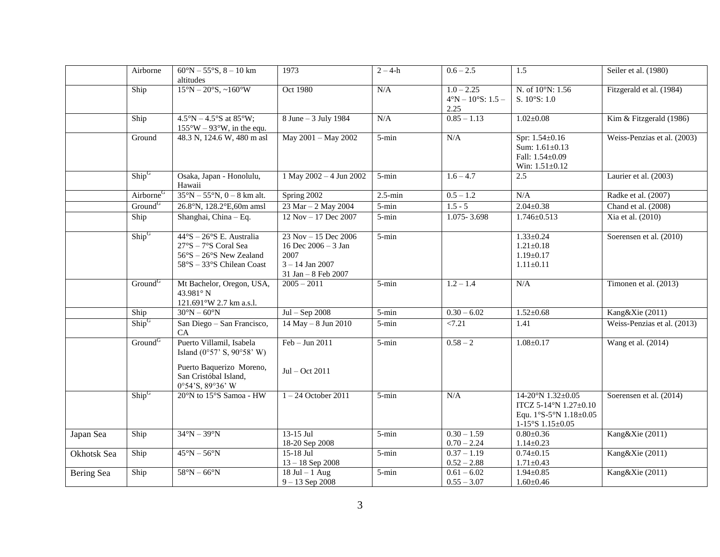|             | Airborne              | $60^{\circ}N - 55^{\circ}S$ , 8 - 10 km<br>altitudes                                                                                       | 1973                                                                                              | $\frac{1}{2-4-h}$ | $0.6 - 2.5$                                                | 1.5                                                                                          | Seiler et al. (1980)        |
|-------------|-----------------------|--------------------------------------------------------------------------------------------------------------------------------------------|---------------------------------------------------------------------------------------------------|-------------------|------------------------------------------------------------|----------------------------------------------------------------------------------------------|-----------------------------|
|             | Ship                  | $15^{\circ}N - 20^{\circ}S, \sim 160^{\circ}W$                                                                                             | Oct 1980                                                                                          | N/A               | $1.0 - 2.25$<br>$4^{\circ}N - 10^{\circ}S$ : 1.5 -<br>2.25 | N. of 10°N: 1.56<br>S. $10^{\circ}$ S: 1.0                                                   | Fitzgerald et al. (1984)    |
|             | Ship                  | $4.5^{\circ}N - 4.5^{\circ}S$ at 85°W;<br>$155^{\circ}$ W – 93°W, in the equ.                                                              | 8 June – 3 July 1984                                                                              | N/A               | $0.85 - 1.13$                                              | $1.02 \pm 0.08$                                                                              | Kim & Fitzgerald (1986)     |
|             | Ground                | 48.3 N, 124.6 W, 480 m asl                                                                                                                 | May 2001 - May 2002                                                                               | $5 - min$         | N/A                                                        | Spr: 1.54±0.16<br>Sum: $1.61 \pm 0.13$<br>Fall: 1.54±0.09<br>Win: $1.51 \pm 0.12$            | Weiss-Penzias et al. (2003) |
|             | $\text{Ship}^G$       | Osaka, Japan - Honolulu,<br>Hawaii                                                                                                         | 1 May 2002 - 4 Jun 2002                                                                           | $5 - min$         | $1.6 - 4.7$                                                | 2.5                                                                                          | Laurier et al. (2003)       |
|             | Airborne <sup>G</sup> | $35^{\circ}N - 55^{\circ}N$ , 0 - 8 km alt.                                                                                                | Spring 2002                                                                                       | $2.5$ -min        | $0.5 - 1.2$                                                | N/A                                                                                          | Radke et al. (2007)         |
|             | Ground <sup>G</sup>   | 26.8°N, 128.2°E, 60m amsl                                                                                                                  | 23 Mar - 2 May 2004                                                                               | $5 - min$         | $1.5 - 5$                                                  | $2.04 \pm 0.38$                                                                              | Chand et al. (2008)         |
|             | Ship                  | Shanghai, China - Eq.                                                                                                                      | 12 Nov - 17 Dec 2007                                                                              | 5-min             | 1.075 - 3.698                                              | $1.746 \pm 0.513$                                                                            | Xia et al. (2010)           |
|             | $\text{Ship}^G$       | $44^{\circ}S - 26^{\circ}S$ E. Australia<br>$27°S - 7°S$ Coral Sea<br>$56^{\circ}S - 26^{\circ}S$ New Zealand<br>58°S - 33°S Chilean Coast | 23 Nov - 15 Dec 2006<br>16 Dec $2006 - 3$ Jan<br>2007<br>$3 - 14$ Jan 2007<br>31 Jan - 8 Feb 2007 | $5 - min$         |                                                            | $1.33 \pm 0.24$<br>$1.21 \pm 0.18$<br>$1.19 \pm 0.17$<br>$1.11 \pm 0.11$                     | Soerensen et al. (2010)     |
|             | Ground <sup>G</sup>   | Mt Bachelor, Oregon, USA,<br>43.981° N<br>121.691°W 2.7 km a.s.l.                                                                          | $2005 - 2011$                                                                                     | $5 - min$         | $1.2 - 1.4$                                                | N/A                                                                                          | Timonen et al. (2013)       |
|             | Ship                  | $30^{\circ}N - 60^{\circ}N$                                                                                                                | $Jul - Sep 2008$                                                                                  | $5 - min$         | $0.30 - 6.02$                                              | $1.52 \pm 0.68$                                                                              | Kang&Xie (2011)             |
|             | $\text{ Ship}^G$      | San Diego - San Francisco,<br><b>CA</b>                                                                                                    | 14 May - 8 Jun 2010                                                                               | $5 - min$         | < 7.21                                                     | 1.41                                                                                         | Weiss-Penzias et al. (2013) |
|             | Ground <sup>G</sup>   | Puerto Villamil, Isabela<br>Island $(0°57' S, 90°58' W)$<br>Puerto Baquerizo Moreno,<br>San Cristóbal Island,<br>0°54'S, 89°36' W          | $Feb - Jun 2011$<br>$Jul - Oct$ 2011                                                              | $5 - min$         | $0.58 - 2$                                                 | $1.08 \pm 0.17$                                                                              | Wang et al. (2014)          |
|             | $\text{Ship}^G$       | 20°N to 15°S Samoa - HW                                                                                                                    | $1 - 24$ October 2011                                                                             | $5 - min$         | N/A                                                        | 14-20°N 1.32±0.05<br>ITCZ 5-14°N 1.27±0.10<br>Equ. 1°S-5°N 1.18±0.05<br>$1-15°S$ $1.15±0.05$ | Soerensen et al. (2014)     |
| Japan Sea   | Ship                  | $34^\circ N - 39^\circ N$                                                                                                                  | 13-15 Jul<br>18-20 Sep 2008                                                                       | $5 - min$         | $0.30 - 1.59$<br>$0.70 - 2.24$                             | $0.80 \pm 0.36$<br>$1.14 \pm 0.23$                                                           | Kang&Xie (2011)             |
| Okhotsk Sea | Ship                  | $45^\circ N - 56^\circ N$                                                                                                                  | 15-18 Jul<br>$13 - 18$ Sep 2008                                                                   | 5-min             | $0.37 - 1.19$<br>$0.52 - 2.88$                             | $0.74 \pm 0.15$<br>$1.71 \pm 0.43$                                                           | Kang&Xie (2011)             |
| Bering Sea  | Ship                  | $58^{\circ}N - 66^{\circ}N$                                                                                                                | $18$ Jul – 1 Aug<br>$9 - 13$ Sep 2008                                                             | $5 - min$         | $0.61 - 6.02$<br>$0.55 - 3.07$                             | $1.94 \pm 0.85$<br>$1.60 \pm 0.46$                                                           | Kang&Xie (2011)             |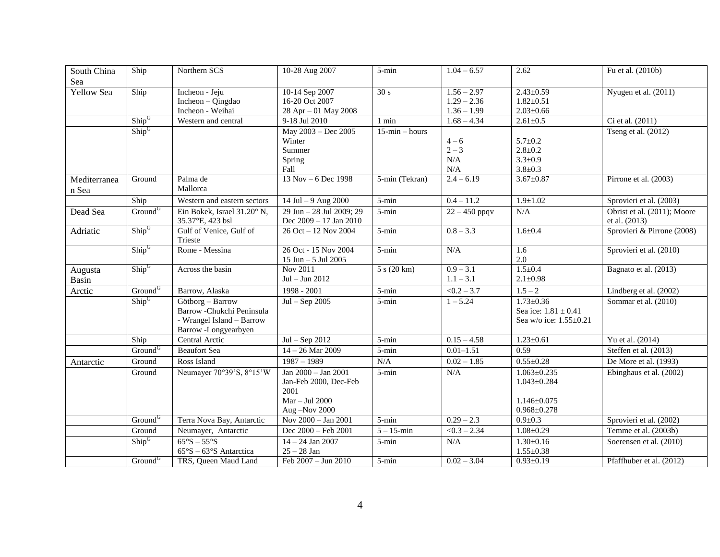| South China<br>Sea    | Ship                | Northern SCS                                                                                      | 10-28 Aug 2007                                                                            | $5 - min$         | $1.04 - 6.57$                                   | 2.62                                                                           | Fu et al. (2010b)                            |
|-----------------------|---------------------|---------------------------------------------------------------------------------------------------|-------------------------------------------------------------------------------------------|-------------------|-------------------------------------------------|--------------------------------------------------------------------------------|----------------------------------------------|
| Yellow Sea            | Ship                | Incheon - Jeju<br>Incheon - Qingdao<br>Incheon - Weihai                                           | 10-14 Sep 2007<br>16-20 Oct 2007<br>28 Apr - 01 May 2008                                  | 30 s              | $1.56 - 2.97$<br>$1.29 - 2.36$<br>$1.36 - 1.99$ | $2.43 \pm 0.59$<br>$1.82 \pm 0.51$<br>$2.03 \pm 0.66$                          | Nyugen et al. (2011)                         |
|                       | Ship <sup>G</sup>   | Western and central                                                                               | 9-18 Jul 2010                                                                             | $1$ min           | $1.68 - 4.34$                                   | $2.61 \pm 0.5$                                                                 | Ci et al. (2011)                             |
|                       | $\text{Ship}^G$     |                                                                                                   | May 2003 - Dec 2005<br>Winter<br>Summer<br>Spring<br>Fall                                 | $15$ -min – hours | $4 - 6$<br>$2 - 3$<br>$\rm N/A$<br>N/A          | $5.7 \pm 0.2$<br>$2.8 \pm 0.2$<br>$3.3 \pm 0.9$<br>$3.8 \pm 0.3$               | Tseng et al. (2012)                          |
| Mediterranea<br>n Sea | Ground              | Palma de<br>Mallorca                                                                              | 13 Nov – 6 Dec 1998                                                                       | 5-min (Tekran)    | $2.4 - 6.19$                                    | $3.67 \pm 0.87$                                                                | Pirrone et al. (2003)                        |
|                       | Ship                | Western and eastern sectors                                                                       | $14$ Jul $-9$ Aug 2000                                                                    | $5 - min$         | $0.4 - 11.2$                                    | $1.9 \pm 1.02$                                                                 | Sprovieri et al. (2003)                      |
| Dead Sea              | Ground <sup>G</sup> | Ein Bokek, Israel 31.20° N,<br>35.37°E, 423 bsl                                                   | 29 Jun - 28 Jul 2009; 29<br>Dec 2009 - 17 Jan 2010                                        | $5 - min$         | $22 - 450$ ppqv                                 | N/A                                                                            | Obrist et al. (2011); Moore<br>et al. (2013) |
| Adriatic              | $\text{Ship}^G$     | Gulf of Venice, Gulf of<br>Trieste                                                                | 26 Oct - 12 Nov 2004                                                                      | $5 - min$         | $0.8 - 3.3$                                     | $1.6 + 0.4$                                                                    | Sprovieri & Pirrone (2008)                   |
|                       | $\text{Ship}^G$     | Rome - Messina                                                                                    | 26 Oct - 15 Nov 2004<br>15 Jun - 5 Jul 2005                                               | $5 - min$         | N/A                                             | 1.6<br>2.0                                                                     | Sprovieri et al. (2010)                      |
| Augusta<br>Basin      | $\text{Ship}^G$     | Across the basin                                                                                  | Nov 2011<br>Jul - Jun 2012                                                                | 5 s (20 km)       | $0.9 - 3.1$<br>$1.1 - 3.1$                      | $1.5 \pm 0.4$<br>$2.1 \pm 0.98$                                                | Bagnato et al. (2013)                        |
| Arctic                | Ground <sup>G</sup> | Barrow, Alaska                                                                                    | $1998 - 2001$                                                                             | $5 - min$         | $\sqrt{0.2 - 3.7}$                              | $1.5 - 2$                                                                      | Lindberg et al. (2002)                       |
|                       | $\text{Ship}^G$     | Götborg - Barrow<br>Barrow -Chukchi Peninsula<br>- Wrangel Island - Barrow<br>Barrow-Longyearbyen | $Jul - Sep 2005$                                                                          | $5 - min$         | $1 - 5.24$                                      | $1.73 \pm 0.36$<br>Sea ice: $1.81 \pm 0.41$<br>Sea w/o ice: $1.55 \pm 0.21$    | Sommar et al. (2010)                         |
|                       | Ship                | Central Arctic                                                                                    | $Jul - Sep 2012$                                                                          | $5 - min$         | $0.15 - 4.58$                                   | $1.23 \pm 0.61$                                                                | Yu et al. (2014)                             |
|                       | Ground <sup>G</sup> | <b>Beaufort Sea</b>                                                                               | $14 - 26$ Mar 2009                                                                        | $5 - min$         | $0.01 - 1.51$                                   | 0.59                                                                           | Steffen et al. (2013)                        |
| Antarctic             | Ground              | Ross Island                                                                                       | $1987 - 1989$                                                                             | N/A               | $0.02 - 1.85$                                   | $0.55 \pm 0.28$                                                                | De More et al. (1993)                        |
|                       | Ground              | Neumayer 70°39'S, 8°15'W                                                                          | Jan 2000 - Jan 2001<br>Jan-Feb 2000, Dec-Feb<br>2001<br>$Mar - Jul$ 2000<br>Aug -Nov 2000 | $5 - min$         | N/A                                             | $1.063 \pm 0.235$<br>$1.043 \pm 0.284$<br>$1.146 + 0.075$<br>$0.968 \pm 0.278$ | Ebinghaus et al. (2002)                      |
|                       | Ground <sup>G</sup> | Terra Nova Bay, Antarctic                                                                         | Nov 2000 - Jan 2001                                                                       | $5 - min$         | $0.29 - 2.3$                                    | $0.9 + 0.3$                                                                    | Sprovieri et al. (2002)                      |
|                       | Ground              | Neumayer, Antarctic                                                                               | Dec 2000 - Feb 2001                                                                       | $5 - 15$ -min     | $< 0.3 - 2.34$                                  | $1.08 \pm 0.29$                                                                | Temme et al. (2003b)                         |
|                       | $\text{Ship}^G$     | $65^\circ$ S – $55^\circ$ S<br>$65^{\circ}S - 63^{\circ}S$ Antarctica                             | $14 - 24$ Jan 2007<br>$25 - 28$ Jan                                                       | $5 - min$         | N/A                                             | $1.30 \pm 0.16$<br>$1.55 \pm 0.38$                                             | Soerensen et al. (2010)                      |
|                       | Ground <sup>G</sup> | TRS, Queen Maud Land                                                                              | Feb 2007 - Jun 2010                                                                       | 5-min             | $0.02 - 3.04$                                   | $0.93 \pm 0.19$                                                                | Pfaffhuber et al. (2012)                     |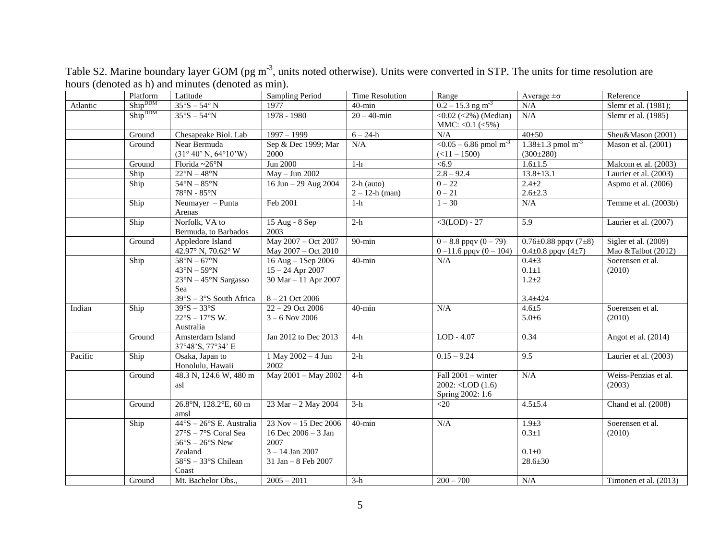|          | Platform                   | Latitude                                                                                                                                                         | Sampling Period                                                                                    | <b>Time Resolution</b>            | Range                                                             | Average $\pm \sigma$                                                | Reference                                  |
|----------|----------------------------|------------------------------------------------------------------------------------------------------------------------------------------------------------------|----------------------------------------------------------------------------------------------------|-----------------------------------|-------------------------------------------------------------------|---------------------------------------------------------------------|--------------------------------------------|
| Atlantic | $\text{Ship}^{\text{DDM}}$ | $35^{\circ}\textrm{S} - 54^{\circ}$ N                                                                                                                            | 1977                                                                                               | $40$ -min                         | $0.2 - 15.3$ ng m <sup>-3</sup>                                   | $\rm N/A$                                                           | Slemr et al. (1981);                       |
|          | Ship <sup>DDM</sup>        | $35^\circ S - 54^\circ N$                                                                                                                                        | $1978 - 1980$                                                                                      | $20 - 40$ -min                    | <0.02 (<2%) (Median)<br>MMC: < $0.1$ (< $5\%$ )                   | N/A                                                                 | Slemr et al. (1985)                        |
|          | Ground                     | Chesapeake Biol. Lab                                                                                                                                             | $1997 - 1999$                                                                                      | $6 - 24 - h$                      | N/A                                                               | 40±50                                                               | Sheu&Mason (2001)                          |
|          | Ground                     | Near Bermuda<br>$(31^{\circ} 40' N, 64^{\circ} 10' W)$                                                                                                           | Sep & Dec 1999; Mar<br>2000                                                                        | N/A                               | $\sqrt{0.05 - 6.86}$ pmol m <sup>-3</sup><br>$(<11-1500)$         | $1.38 \pm 1.3$ pmol m <sup>-3</sup><br>$(300\pm280)$                | Mason et al. (2001)                        |
|          | Ground                     | Florida~26°N                                                                                                                                                     | Jun 2000                                                                                           | $1-h$                             | < 6.9                                                             | $1.6 + 1.5$                                                         | Malcom et al. (2003)                       |
|          | Ship                       | $22^{\circ}N - 48^{\circ}N$                                                                                                                                      | $May - Jun 2002$                                                                                   |                                   | $2.8 - 92.4$                                                      | $13.8 \pm 13.1$                                                     | Laurier et al. (2003)                      |
|          | Ship                       | $54^{\circ}N - 85^{\circ}N$<br>$78^{\circ}N - 85^{\circ}N$                                                                                                       | 16 Jun - 29 Aug 2004                                                                               | $2-h$ (auto)<br>$2 - 12$ -h (man) | $0 - 22$<br>$0 - 21$                                              | $2.4 \pm 2$<br>$2.6 \pm 2.3$                                        | Aspmo et al. (2006)                        |
|          | Ship                       | Neumayer $-$ Punta<br>Arenas                                                                                                                                     | Feb 2001                                                                                           | $1-h$                             | $1 - 30$                                                          | N/A                                                                 | Temme et al. (2003b)                       |
|          | Ship                       | Norfolk, VA to<br>Bermuda, to Barbados                                                                                                                           | 15 Aug - 8 Sep<br>2003                                                                             | $2-h$                             | $<3(LOD) - 27$                                                    | 5.9                                                                 | Laurier et al. (2007)                      |
|          | Ground                     | Appledore Island<br>42.97° N, 70.62° W                                                                                                                           | May 2007 - Oct 2007<br>May 2007 - Oct 2010                                                         | $90 - min$                        | $0 - 8.8$ ppqv $(0 - 79)$<br>$0 - 11.6$ ppqv $(0 - 104)$          | $0.76 \pm 0.88$ ppqv (7 $\pm 8$ )<br>$0.4 \pm 0.8$ ppqv (4 $\pm$ 7) | Sigler et al. (2009)<br>Mao &Talbot (2012) |
|          | Ship                       | $58^\circ N - 67^\circ N$<br>$43^{\circ}N - 59^{\circ}N$<br>$23^{\circ}N - 45^{\circ}N$ Sargasso<br>Sea<br>$39°S - 3°S$ South Africa                             | $16$ Aug – 1Sep 2006<br>$15 - 24$ Apr 2007<br>30 Mar - 11 Apr 2007<br>$8 - 21$ Oct 2006            | $40$ -min                         | N/A                                                               | $0.4 + 3$<br>$0.1 \pm 1$<br>$1.2 + 2$<br>$3.4 \pm 424$              | Soerensen et al.<br>(2010)                 |
| Indian   | Ship                       | $39^\circ$ S - 33°S<br>$22^{\circ}S - 17^{\circ}S$ W.<br>Australia                                                                                               | $22 - 29$ Oct 2006<br>$3 - 6$ Nov 2006                                                             | $40$ -min                         | N/A                                                               | $4.6 + 5$<br>$5.0 + 6$                                              | Soerensen et al.<br>(2010)                 |
|          | Ground                     | Amsterdam Island<br>37°48'S, 77°34' E                                                                                                                            | Jan 2012 to Dec 2013                                                                               | $4-h$                             | $LOD - 4.07$                                                      | 0.34                                                                | Angot et al. (2014)                        |
| Pacific  | Ship                       | Osaka, Japan to<br>Honolulu, Hawaii                                                                                                                              | 1 May 2002 - 4 Jun<br>2002                                                                         | $2-h$                             | $0.15 - 9.24$                                                     | 9.5                                                                 | Laurier et al. (2003)                      |
|          | Ground                     | 48.3 N, 124.6 W, 480 m<br>asl                                                                                                                                    | May 2001 - May 2002                                                                                | $4-h$                             | Fall $2001 -$ winter<br>$2002: <$ LOD $(1.6)$<br>Spring 2002: 1.6 | N/A                                                                 | Weiss-Penzias et al.<br>(2003)             |
|          | Ground                     | 26.8°N, 128.2°E, 60 m<br>amsl                                                                                                                                    | 23 Mar - 2 May 2004                                                                                | $3-h$                             | $<$ 20                                                            | $4.5 \pm 5.4$                                                       | Chand et al. (2008)                        |
|          | Ship                       | $44^{\circ}S - 26^{\circ}S$ E. Australia<br>$27^\circ$ S – $7^\circ$ S Coral Sea<br>$56^{\circ}S - 26^{\circ}S$ New<br>Zealand<br>$58°S - 33°S$ Chilean<br>Coast | 23 Nov - 15 Dec 2006<br>16 Dec $2006 - 3$ Jan<br>2007<br>$3 - 14$ Jan 2007<br>31 Jan $-8$ Feb 2007 | $40$ -min                         | N/A                                                               | $1.9 + 3$<br>$0.3 \pm 1$<br>$0.1\pm 0$<br>$28.6 \pm 30$             | Soerensen et al.<br>(2010)                 |
|          | Ground                     | Mt. Bachelor Obs.,                                                                                                                                               | $2005 - 2011$                                                                                      | $3-h$                             | $200 - 700$                                                       | $\rm N/A$                                                           | Timonen et al. (2013)                      |

Table S2. Marine boundary layer GOM (pg m<sup>-3</sup>, units noted otherwise). Units were converted in STP. The units for time resolution are hours (denoted as h) and minutes (denoted as min).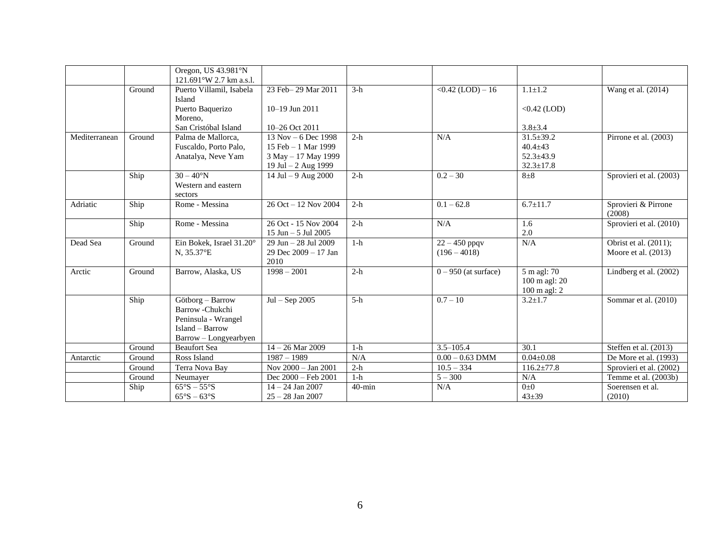|                  |        | Oregon, US 43.981°N<br>121.691°W 2.7 km a.s.l.                                                        |                                                                                             |           |                                   |                                                                        |                                                |
|------------------|--------|-------------------------------------------------------------------------------------------------------|---------------------------------------------------------------------------------------------|-----------|-----------------------------------|------------------------------------------------------------------------|------------------------------------------------|
|                  | Ground | Puerto Villamil, Isabela<br>Island                                                                    | 23 Feb-29 Mar 2011                                                                          | $3-h$     | $< 0.42$ (LOD) - 16               | $1.1 \pm 1.2$                                                          | Wang et al. (2014)                             |
|                  |        | Puerto Baquerizo<br>Moreno,                                                                           | $10-19$ Jun $2011$                                                                          |           |                                   | $<0.42$ (LOD)                                                          |                                                |
|                  |        | San Cristóbal Island                                                                                  | 10-26 Oct 2011                                                                              |           |                                   | $3.8 \pm 3.4$                                                          |                                                |
| $M$ editerranean | Ground | Palma de Mallorca.<br>Fuscaldo, Porto Palo,<br>Anatalya, Neve Yam                                     | $13$ Nov $-6$ Dec 1998<br>15 Feb - 1 Mar 1999<br>3 May - 17 May 1999<br>19 Jul - 2 Aug 1999 | $2-h$     | N/A                               | $31.5 \pm 39.2$<br>$40.4 \pm 43$<br>$52.3 \pm 43.9$<br>$32.3 \pm 17.8$ | Pirrone et al. (2003)                          |
|                  | Ship   | $30 - 40^{\circ}N$<br>Western and eastern<br>sectors                                                  | 14 Jul - 9 Aug 2000                                                                         | $2-h$     | $0.2 - 30$                        | $8\pm8$                                                                | Sprovieri et al. (2003)                        |
| Adriatic         | Ship   | Rome - Messina                                                                                        | 26 Oct - 12 Nov 2004                                                                        | $2-h$     | $0.1 - 62.8$                      | $6.7 \pm 11.7$                                                         | Sprovieri & Pirrone<br>(2008)                  |
|                  | Ship   | Rome - Messina                                                                                        | 26 Oct - 15 Nov 2004<br>15 Jun $-$ 5 Jul 2005                                               | $2-h$     | N/A                               | 1.6<br>2.0                                                             | Sprovieri et al. (2010)                        |
| Dead Sea         | Ground | Ein Bokek, Israel 31.20°<br>N, 35.37°E                                                                | 29 Jun - 28 Jul 2009<br>29 Dec 2009 - 17 Jan<br>2010                                        | $1-h$     | $22 - 450$ ppqv<br>$(196 - 4018)$ | N/A                                                                    | Obrist et al. (2011);<br>Moore et al. $(2013)$ |
| Arctic           | Ground | Barrow, Alaska, US                                                                                    | $1998 - 2001$                                                                               | $2-h$     | $0 - 950$ (at surface)            | 5 m agl: 70<br>100 m agl: 20<br>100 m agl: 2                           | Lindberg et al. (2002)                         |
|                  | Ship   | Götborg - Barrow<br>Barrow-Chukchi<br>Peninsula - Wrangel<br>Island - Barrow<br>Barrow - Longyearbyen | $Jul - Sep 2005$                                                                            | $5-h$     | $0.7 - 10$                        | $3.2 \pm 1.7$                                                          | Sommar et al. (2010)                           |
|                  | Ground | <b>Beaufort Sea</b>                                                                                   | $14 - 26$ Mar 2009                                                                          | $1-h$     | $3.5 - 105.4$                     | 30.1                                                                   | Steffen et al. (2013)                          |
| Antarctic        | Ground | Ross Island                                                                                           | $1987 - 1989$                                                                               | N/A       | $0.00 - 0.63$ DMM                 | $0.04 \pm 0.08$                                                        | De More et al. (1993)                          |
|                  | Ground | Terra Nova Bay                                                                                        | Nov 2000 - Jan 2001                                                                         | $2-h$     | $10.5 - 334$                      | $116.2 \pm 77.8$                                                       | Sprovieri et al. (2002)                        |
|                  | Ground | Neumayer                                                                                              | Dec 2000 - Feb 2001                                                                         | $1-h$     | $5 - 300$                         | N/A                                                                    | Temme et al. (2003b)                           |
|                  | Ship   | $\overline{65^\circ S} - 55^\circ S$<br>$65^\circ$ S – $63^\circ$ S                                   | $14 - 24$ Jan 2007<br>$25 - 28$ Jan 2007                                                    | $40$ -min | N/A                               | $0\pm 0$<br>$43 + 39$                                                  | Soerensen et al.<br>(2010)                     |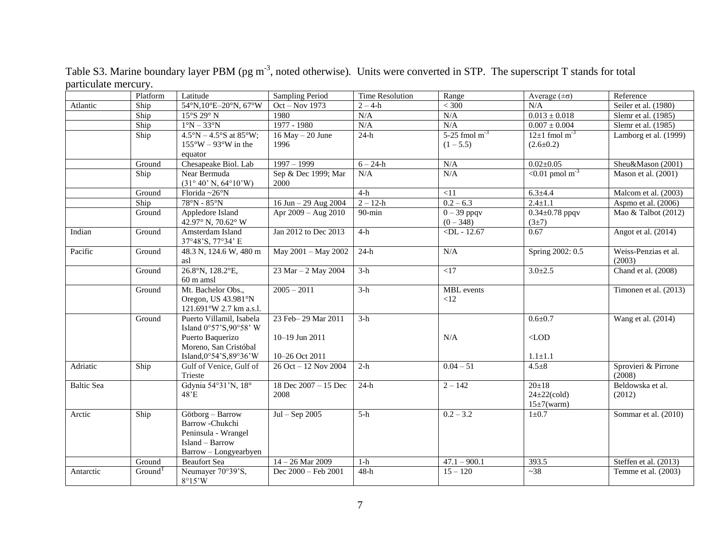|                   | Platform            | Latitude                                                                                              | Sampling Period                  | <b>Time Resolution</b> | Range                                 | Average $(\pm \sigma)$                              | Reference                      |
|-------------------|---------------------|-------------------------------------------------------------------------------------------------------|----------------------------------|------------------------|---------------------------------------|-----------------------------------------------------|--------------------------------|
| Atlantic          | Ship                | 54°N,10°E-20°N,67°W                                                                                   | Oct - Nov 1973                   | $2 - 4-h$              | $<$ 300                               | N/A                                                 | Seiler et al. (1980)           |
|                   | Ship                | 15°S 29°N                                                                                             | 1980                             | N/A                    | $\rm N/A$                             | $0.013 \pm 0.018$                                   | Slemr et al. (1985)            |
|                   | Ship                | $1^\circ N - 33^\circ N$                                                                              | 1977 - 1980                      | N/A                    | N/A                                   | $0.007 \pm 0.004$                                   | Slemr et al. (1985)            |
|                   | Ship                | $4.5^{\circ}N - 4.5^{\circ}S$ at 85°W;                                                                | $16$ May $- 20$ June             | $24-h$                 | $5-25$ fmol m <sup>-3</sup>           | $12\pm1$ fmol m <sup>-3</sup>                       | Lamborg et al. (1999)          |
|                   |                     | $155^{\circ}W - 93^{\circ}W$ in the                                                                   | 1996                             |                        | $(1 - 5.5)$                           | $(2.6 \pm 0.2)$                                     |                                |
|                   |                     | equator                                                                                               |                                  |                        |                                       |                                                     |                                |
|                   | Ground              | Chesapeake Biol. Lab                                                                                  | $1997 - 1999$                    | $6 - 24 - h$           | $\rm N/A$                             | $0.02 \pm 0.05$                                     | Sheu&Mason (2001)              |
|                   | Ship                | Near Bermuda<br>$(31^{\circ} 40' N, 64^{\circ} 10' W)$                                                | Sep & Dec 1999; Mar<br>2000      | N/A                    | N/A                                   | $< 0.01$ pmol m <sup>-3</sup>                       | Mason et al. (2001)            |
|                   | Ground              | Florida~26°N                                                                                          |                                  | $4-h$                  | <11                                   | $6.3 \pm 4.4$                                       | Malcom et al. (2003)           |
|                   | Ship                | $78^\circ N - 85^\circ N$                                                                             | $16$ Jun $-29$ Aug 2004          | $2 - 12-h$             | $0.2 - 6.3$                           | $2.4 \pm 1.1$                                       | Aspmo et al. (2006)            |
|                   | Ground              | Appledore Island<br>42.97° N, 70.62° W                                                                | Apr 2009 - Aug 2010              | $90 - min$             | $\overline{0-39}$ ppqv<br>$(0 - 348)$ | $0.34 \pm 0.78$ ppqv<br>(3±7)                       | Mao & Talbot (2012)            |
| Indian            | Ground              | Amsterdam Island<br>37°48'S, 77°34' E                                                                 | Jan 2012 to Dec 2013             | $4-h$                  | $\n  $                                | 0.67                                                | Angot et al. (2014)            |
| Pacific           | Ground              | 48.3 N, 124.6 W, 480 m<br>asl                                                                         | May 2001 - May 2002              | $24-h$                 | N/A                                   | Spring 2002: 0.5                                    | Weiss-Penzias et al.<br>(2003) |
|                   | Ground              | 26.8°N, 128.2°E,<br>$60 \text{ m}$ amsl                                                               | 23 Mar - 2 May 2004              | $3-h$                  | <17                                   | $3.0 \pm 2.5$                                       | Chand et al. (2008)            |
|                   | Ground              | Mt. Bachelor Obs.,<br>Oregon, US 43.981°N<br>121.691°W 2.7 km a.s.l.                                  | $2005 - 2011$                    | $3-h$                  | <b>MBL</b> events<br><12              |                                                     | Timonen et al. (2013)          |
|                   | Ground              | Puerto Villamil, Isabela<br>Island 0°57'S, 90°58' W                                                   | 23 Feb-29 Mar 2011               | $3-h$                  |                                       | $0.6 + 0.7$                                         | Wang et al. (2014)             |
|                   |                     | Puerto Baquerizo<br>Moreno, San Cristóbal<br>Island, $0°54'$ S, $89°36'$ W                            | 10-19 Jun 2011<br>10-26 Oct 2011 |                        | N/A                                   | $<\!\!\rm{LOD}$<br>$1.1 \pm 1.1$                    |                                |
| Adriatic          | Ship                | Gulf of Venice, Gulf of<br>Trieste                                                                    | 26 Oct - 12 Nov 2004             | $2-h$                  | $0.04 - 51$                           | $4.5 + 8$                                           | Sprovieri & Pirrone<br>(2008)  |
| <b>Baltic Sea</b> |                     | Gdynia 54°31'N, 18°<br>48'E                                                                           | 18 Dec 2007 - 15 Dec<br>2008     | $24-h$                 | $2 - 142$                             | $20 \pm 18$<br>$24\pm 22$ (cold)<br>$15\pm7$ (warm) | Beldowska et al.<br>(2012)     |
| Arctic            | Ship                | Götborg - Barrow<br>Barrow-Chukchi<br>Peninsula - Wrangel<br>Island - Barrow<br>Barrow - Longyearbyen | $Jul - Sep$ 2005                 | $5-h$                  | $0.2 - 3.2$                           | $1\pm0.7$                                           | Sommar et al. (2010)           |
|                   | Ground              | <b>Beaufort Sea</b>                                                                                   | $14 - 26$ Mar 2009               | $1-h$                  | $47.1 - 900.1$                        | 393.5                                               | Steffen et al. (2013)          |
| Antarctic         | Ground <sup>1</sup> | Neumayer 70°39'S,<br>8°15'W                                                                           | Dec 2000 - Feb 2001              | $48-h$                 | $15 - 120$                            | ~238                                                | Temme et al. (2003)            |

Table S3. Marine boundary layer PBM (pg m<sup>-3</sup>, noted otherwise). Units were converted in STP. The superscript T stands for total particulate mercury.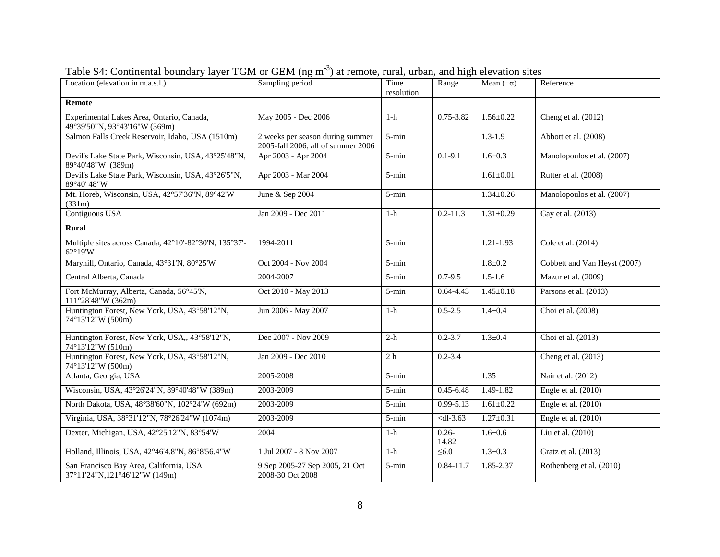| Location (elevation in m.a.s.l.)                                           | Sampling period                                                        | Time<br>resolution | Range             | Mean $(\pm \sigma)$ | Reference                    |
|----------------------------------------------------------------------------|------------------------------------------------------------------------|--------------------|-------------------|---------------------|------------------------------|
| <b>Remote</b>                                                              |                                                                        |                    |                   |                     |                              |
| Experimental Lakes Area, Ontario, Canada,<br>49°39'50"N, 93°43'16"W (369m) | May 2005 - Dec 2006                                                    | $1-h$              | 0.75-3.82         | $1.56 \pm 0.22$     | Cheng et al. (2012)          |
| Salmon Falls Creek Reservoir, Idaho, USA (1510m)                           | 2 weeks per season during summer<br>2005-fall 2006; all of summer 2006 | 5-min              |                   | $1.3 - 1.9$         | Abbott et al. (2008)         |
| Devil's Lake State Park, Wisconsin, USA, 43°25'48"N,<br>89°40'48"W (389m)  | Apr 2003 - Apr 2004                                                    | 5-min              | $0.1 - 9.1$       | $1.6 \pm 0.3$       | Manolopoulos et al. (2007)   |
| Devil's Lake State Park, Wisconsin, USA, 43°26'5"N,<br>89°40' 48"W         | Apr 2003 - Mar 2004                                                    | $5 - min$          |                   | $1.61 \pm 0.01$     | Rutter et al. (2008)         |
| Mt. Horeb, Wisconsin, USA, 42°57'36"N, 89°42'W<br>(331m)                   | June & Sep 2004                                                        | 5-min              |                   | $1.34 \pm 0.26$     | Manolopoulos et al. (2007)   |
| Contiguous USA                                                             | Jan 2009 - Dec 2011                                                    | $1-h$              | $0.2 - 11.3$      | $1.31 \pm 0.29$     | Gay et al. (2013)            |
| Rural                                                                      |                                                                        |                    |                   |                     |                              |
| Multiple sites across Canada, 42°10'-82°30'N, 135°37'-<br>62°19'W          | 1994-2011                                                              | $5 - min$          |                   | $1.21 - 1.93$       | Cole et al. (2014)           |
| Maryhill, Ontario, Canada, 43°31'N, 80°25'W                                | Oct 2004 - Nov 2004                                                    | 5-min              |                   | $1.8 \pm 0.2$       | Cobbett and Van Heyst (2007) |
| Central Alberta, Canada                                                    | 2004-2007                                                              | $5 - min$          | $0.7 - 9.5$       | $1.5 - 1.6$         | Mazur et al. (2009)          |
| Fort McMurray, Alberta, Canada, 56°45'N,<br>111°28'48"W (362m)             | Oct 2010 - May 2013                                                    | 5-min              | $0.64 - 4.43$     | $1.45 \pm 0.18$     | Parsons et al. (2013)        |
| Huntington Forest, New York, USA, 43°58'12"N,<br>74°13'12"W (500m)         | Jun 2006 - May 2007                                                    | $1-h$              | $0.5 - 2.5$       | $1.4 \pm 0.4$       | Choi et al. (2008)           |
| Huntington Forest, New York, USA,, 43°58'12"N,<br>74°13'12"W (510m)        | Dec 2007 - Nov 2009                                                    | $2-h$              | $0.2 - 3.7$       | $1.3 \pm 0.4$       | Choi et al. (2013)           |
| Huntington Forest, New York, USA, 43°58'12"N,<br>74°13'12"W (500m)         | Jan 2009 - Dec 2010                                                    | 2 <sub>h</sub>     | $0.2 - 3.4$       |                     | Cheng et al. (2013)          |
| Atlanta, Georgia, USA                                                      | 2005-2008                                                              | 5-min              |                   | 1.35                | Nair et al. (2012)           |
| Wisconsin, USA, 43°26'24"N, 89°40'48"W (389m)                              | 2003-2009                                                              | 5-min              | $0.45 - 6.48$     | $1.49 - 1.82$       | Engle et al. $(2010)$        |
| North Dakota, USA, 48°38'60"N, 102°24'W (692m)                             | 2003-2009                                                              | 5-min              | $0.99 - 5.13$     | $1.61 \pm 0.22$     | Engle et al. $(2010)$        |
| Virginia, USA, 38°31'12"N, 78°26'24"W (1074m)                              | 2003-2009                                                              | 5-min              | $<$ dl-3.63       | $1.27 \pm 0.31$     | Engle et al. (2010)          |
| Dexter, Michigan, USA, 42°25'12"N, 83°54'W                                 | 2004                                                                   | $1-h$              | $0.26 -$<br>14.82 | $1.6 \pm 0.6$       | Liu et al. (2010)            |
| Holland, Illinois, USA, 42°46'4.8"N, 86°8'56.4"W                           | 1 Jul 2007 - 8 Nov 2007                                                | $1-h$              | $\leq 6.0$        | $1.3 \pm 0.3$       | Gratz et al. (2013)          |
| San Francisco Bay Area, California, USA<br>37°11'24"N,121°46'12"W (149m)   | 9 Sep 2005-27 Sep 2005, 21 Oct<br>2008-30 Oct 2008                     | $5 - min$          | $0.84 - 11.7$     | 1.85-2.37           | Rothenberg et al. (2010)     |

Table S4: Continental boundary layer TGM or GEM (ng m<sup>-3</sup>) at remote, rural, urban, and high elevation sites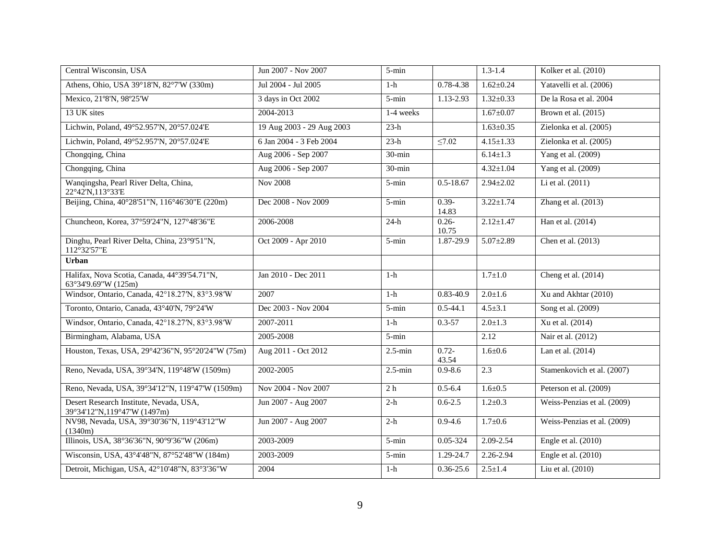| Central Wisconsin, USA                                                 | Jun 2007 - Nov 2007       | 5-min          |                   | $1.3 - 1.4$     | Kolker et al. (2010)        |
|------------------------------------------------------------------------|---------------------------|----------------|-------------------|-----------------|-----------------------------|
| Athens, Ohio, USA 39°18'N, 82°7'W (330m)                               | Jul 2004 - Jul 2005       | $1-h$          | $0.78 - 4.38$     | $1.62 \pm 0.24$ | Yatavelli et al. (2006)     |
| Mexico, 21°8'N, 98°25'W                                                | 3 days in Oct 2002        | 5-min          | 1.13-2.93         | $1.32 \pm 0.33$ | De la Rosa et al. 2004      |
| 13 UK sites                                                            | 2004-2013                 | 1-4 weeks      |                   | $1.67 \pm 0.07$ | Brown et al. (2015)         |
| Lichwin, Poland, 49°52.957'N, 20°57.024'E                              | 19 Aug 2003 - 29 Aug 2003 | $23-h$         |                   | $1.63 \pm 0.35$ | Zielonka et al. (2005)      |
| Lichwin, Poland, 49°52.957'N, 20°57.024'E                              | 6 Jan 2004 - 3 Feb 2004   | $23-h$         | $\leq 7.02$       | $4.15 \pm 1.33$ | Zielonka et al. (2005)      |
| Chongqing, China                                                       | Aug 2006 - Sep 2007       | $30$ -min      |                   | $6.14 \pm 1.3$  | Yang et al. (2009)          |
| Chongqing, China                                                       | Aug 2006 - Sep 2007       | $30 - min$     |                   | $4.32 \pm 1.04$ | Yang et al. (2009)          |
| Wanqingsha, Pearl River Delta, China,<br>22°42'N,113°33'E              | <b>Nov 2008</b>           | $5$ -min       | $0.5 - 18.67$     | $2.94 \pm 2.02$ | Li et al. (2011)            |
| Beijing, China, 40°28'51"N, 116°46'30"E (220m)                         | Dec 2008 - Nov 2009       | $5 - min$      | $0.39 -$<br>14.83 | $3.22 \pm 1.74$ | Zhang et al. (2013)         |
| Chuncheon, Korea, 37°59'24"N, 127°48'36"E                              | 2006-2008                 | $24-h$         | $0.26 -$<br>10.75 | $2.12 \pm 1.47$ | Han et al. (2014)           |
| Dinghu, Pearl River Delta, China, 23°9'51"N,<br>112°32'57"E            | Oct 2009 - Apr 2010       | $5 - min$      | 1.87-29.9         | $5.07 \pm 2.89$ | Chen et al. (2013)          |
| Urban                                                                  |                           |                |                   |                 |                             |
| Halifax, Nova Scotia, Canada, 44°39'54.71"N,<br>63°34'9.69"W (125m)    | Jan 2010 - Dec 2011       | $1-h$          |                   | $1.7 \pm 1.0$   | Cheng et al. $(2014)$       |
| Windsor, Ontario, Canada, 42°18.27'N, 83°3.98'W                        | 2007                      | $1-h$          | $0.83 - 40.9$     | $2.0 \pm 1.6$   | Xu and Akhtar (2010)        |
| Toronto, Ontario, Canada, 43°40'N, 79°24'W                             | Dec 2003 - Nov 2004       | $5 - min$      | $0.5 - 44.1$      | $4.5 \pm 3.1$   | Song et al. (2009)          |
| Windsor, Ontario, Canada, 42°18.27'N, 83°3.98'W                        | 2007-2011                 | $1-h$          | $0.3 - 57$        | $2.0 \pm 1.3$   | Xu et al. (2014)            |
| Birmingham, Alabama, USA                                               | 2005-2008                 | $5 - min$      |                   | 2.12            | Nair et al. (2012)          |
| Houston, Texas, USA, 29°42'36"N, 95°20'24"W (75m)                      | Aug 2011 - Oct 2012       | $2.5$ -min     | $0.72 -$<br>43.54 | $1.6 \pm 0.6$   | Lan et al. (2014)           |
| Reno, Nevada, USA, 39°34'N, 119°48'W (1509m)                           | $2002 - 2005$             | $2.5$ -min     | $0.9 - 8.6$       | 2.3             | Stamenkovich et al. (2007)  |
| Reno, Nevada, USA, 39°34'12"N, 119°47'W (1509m)                        | Nov 2004 - Nov 2007       | 2 <sub>h</sub> | $0.5 - 6.4$       | $1.6 \pm 0.5$   | Peterson et al. (2009)      |
| Desert Research Institute, Nevada, USA,<br>39°34'12"N,119°47'W (1497m) | Jun 2007 - Aug 2007       | $2-h$          | $0.6 - 2.5$       | $1.2 \pm 0.3$   | Weiss-Penzias et al. (2009) |
| NV98, Nevada, USA, 39°30'36"N, 119°43'12"W<br>(1340m)                  | Jun 2007 - Aug 2007       | $2-h$          | $0.9 - 4.6$       | $1.7 \pm 0.6$   | Weiss-Penzias et al. (2009) |
| Illinois, USA, 38°36'36"N, 90°9'36"W (206m)                            | 2003-2009                 | 5-min          | 0.05-324          | 2.09-2.54       | Engle et al. (2010)         |
| Wisconsin, USA, 43°4'48"N, 87°52'48"W (184m)                           | 2003-2009                 | 5-min          | 1.29-24.7         | 2.26-2.94       | Engle et al. (2010)         |
| Detroit, Michigan, USA, 42°10'48"N, 83°3'36"W                          | 2004                      | $1-h$          | $0.36 - 25.6$     | $2.5 \pm 1.4$   | Liu et al. (2010)           |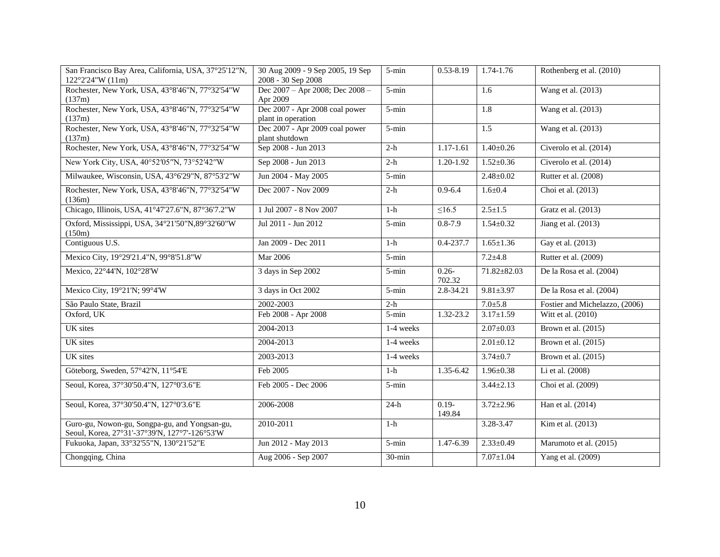| San Francisco Bay Area, California, USA, 37°25'12"N,<br>$122^{\circ}2'24''W(11m)$              | 30 Aug 2009 - 9 Sep 2005, 19 Sep<br>2008 - 30 Sep 2008 | 5-min     | $0.53 - 8.19$      | $1.74 - 1.76$    | Rothenberg et al. (2010)       |
|------------------------------------------------------------------------------------------------|--------------------------------------------------------|-----------|--------------------|------------------|--------------------------------|
| Rochester, New York, USA, 43°8'46"N, 77°32'54"W<br>(137m)                                      | Dec 2007 - Apr 2008; Dec 2008 -<br>Apr 2009            | 5-min     |                    | $\overline{1.6}$ | Wang et al. (2013)             |
| Rochester, New York, USA, 43°8'46"N, 77°32'54"W<br>(137m)                                      | Dec 2007 - Apr 2008 coal power<br>plant in operation   | 5-min     |                    | 1.8              | Wang et al. (2013)             |
| Rochester, New York, USA, 43°8'46"N, 77°32'54"W<br>(137m)                                      | Dec 2007 - Apr 2009 coal power<br>plant shutdown       | 5-min     |                    | 1.5              | Wang et al. (2013)             |
| Rochester, New York, USA, 43°8'46"N, 77°32'54"W                                                | Sep 2008 - Jun 2013                                    | $2-h$     | 1.17-1.61          | $1.40 \pm 0.26$  | Civerolo et al. (2014)         |
| New York City, USA, 40°52'05"N, 73°52'42"W                                                     | Sep 2008 - Jun 2013                                    | $2-h$     | 1.20-1.92          | $1.52 \pm 0.36$  | Civerolo et al. (2014)         |
| Milwaukee, Wisconsin, USA, 43°6'29"N, 87°53'2"W                                                | Jun 2004 - May 2005                                    | $5 - min$ |                    | $2.48 \pm 0.02$  | Rutter et al. (2008)           |
| Rochester, New York, USA, 43°8'46"N, 77°32'54"W<br>(136m)                                      | Dec 2007 - Nov 2009                                    | $2-h$     | $0.9 - 6.4$        | $1.6 + 0.4$      | Choi et al. (2013)             |
| Chicago, Illinois, USA, 41°47'27.6"N, 87°36'7.2"W                                              | 1 Jul 2007 - 8 Nov 2007                                | $1-h$     | $\leq$ 16.5        | $2.5 \pm 1.5$    | Gratz et al. (2013)            |
| Oxford, Mississippi, USA, 34°21'50"N, 89°32'60"W<br>(150m)                                     | Jul 2011 - Jun 2012                                    | $5 - min$ | $0.8 - 7.9$        | $1.54 \pm 0.32$  | Jiang et al. (2013)            |
| Contiguous U.S.                                                                                | Jan 2009 - Dec 2011                                    | $1-h$     | 0.4-237.7          | $1.65 \pm 1.36$  | Gay et al. (2013)              |
| Mexico City, 19°29'21.4"N, 99°8'51.8"W                                                         | Mar 2006                                               | $5$ -min  |                    | $7.2 + 4.8$      | Rutter et al. (2009)           |
| Mexico, 22°44'N, 102°28'W                                                                      | 3 days in Sep 2002                                     | $5 - min$ | $0.26 -$<br>702.32 | 71.82±82.03      | De la Rosa et al. (2004)       |
| Mexico City, 19°21'N; 99°4'W                                                                   | 3 days in Oct 2002                                     | 5-min     | 2.8-34.21          | $9.81 \pm 3.97$  | De la Rosa et al. (2004)       |
| São Paulo State, Brazil                                                                        | 2002-2003                                              | $2-h$     |                    | $7.0{\pm}5.8$    | Fostier and Michelazzo, (2006) |
| Oxford, UK                                                                                     | Feb 2008 - Apr 2008                                    | 5-min     | 1.32-23.2          | $3.17 \pm 1.59$  | Witt et al. (2010)             |
| <b>UK</b> sites                                                                                | 2004-2013                                              | 1-4 weeks |                    | $2.07 \pm 0.03$  | Brown et al. $(2015)$          |
| <b>UK</b> sites                                                                                | 2004-2013                                              | 1-4 weeks |                    | $2.01 \pm 0.12$  | Brown et al. (2015)            |
| UK sites                                                                                       | 2003-2013                                              | 1-4 weeks |                    | $3.74 \pm 0.7$   | Brown et al. $(2015)$          |
| Göteborg, Sweden, 57°42'N, 11°54'E                                                             | Feb 2005                                               | $1-h$     | 1.35-6.42          | $1.96 \pm 0.38$  | Li et al. (2008)               |
| Seoul, Korea, 37°30'50.4"N, 127°0'3.6"E                                                        | Feb 2005 - Dec 2006                                    | 5-min     |                    | $3.44 \pm 2.13$  | Choi et al. (2009)             |
| Seoul, Korea, 37°30'50.4"N, 127°0'3.6"E                                                        | 2006-2008                                              | $24-h$    | $0.19 -$<br>149.84 | $3.72 \pm 2.96$  | Han et al. (2014)              |
| Guro-gu, Nowon-gu, Songpa-gu, and Yongsan-gu,<br>Seoul, Korea, 27°31'-37°39'N, 127°7'-126°53'W | 2010-2011                                              | $1-h$     |                    | 3.28-3.47        | Kim et al. (2013)              |
| Fukuoka, Japan, 33°32'55"N, 130°21'52"E                                                        |                                                        |           |                    |                  |                                |
|                                                                                                | Jun 2012 - May 2013                                    | 5-min     | $1.47 - 6.39$      | $2.33 \pm 0.49$  | Marumoto et al. (2015)         |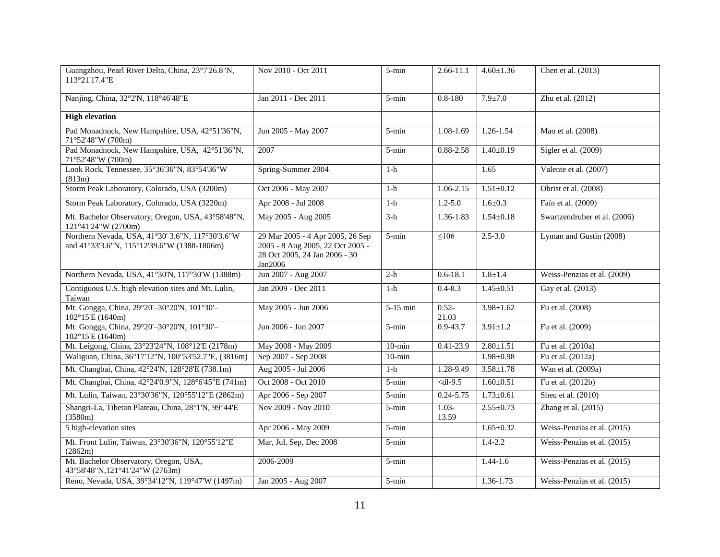| Guangzhou, Pearl River Delta, China, 23°7'26.8"N,<br>113°21'17.4"E                              | Nov 2010 - Oct 2011                                                                                              | $5 - min$ | $2.66 - 11.1$     | $4.60 \pm 1.36$ | Chen et al. (2013)           |
|-------------------------------------------------------------------------------------------------|------------------------------------------------------------------------------------------------------------------|-----------|-------------------|-----------------|------------------------------|
| Nanjing, China, 32°2'N, 118°46'48"E                                                             | Jan 2011 - Dec 2011                                                                                              | 5-min     | $0.8 - 180$       | $7.9 + 7.0$     | Zhu et al. (2012)            |
| <b>High elevation</b>                                                                           |                                                                                                                  |           |                   |                 |                              |
| Pad Monadnock, New Hampshire, USA, 42°51'36"N,<br>71°52'48"W (700m)                             | Jun 2005 - May 2007                                                                                              | $5 - min$ | 1.08-1.69         | 1.26-1.54       | Mao et al. (2008)            |
| Pad Monadnock, New Hampshire, USA, 42°51'36"N,<br>71°52'48"W (700m)                             | 2007                                                                                                             | $5 - min$ | 0.88-2.58         | $1.40 \pm 0.19$ | Sigler et al. (2009)         |
| Look Rock, Tennessee, 35°36'36"N, 83°54'36"W<br>(813m)                                          | Spring-Summer 2004                                                                                               | $1-h$     |                   | 1.65            | Valente et al. (2007)        |
| Storm Peak Laboratory, Colorado, USA (3200m)                                                    | Oct 2006 - May 2007                                                                                              | $1-h$     | 1.06-2.15         | $1.51 \pm 0.12$ | Obrist et al. (2008)         |
| Storm Peak Laboratory, Colorado, USA (3220m)                                                    | Apr 2008 - Jul 2008                                                                                              | $1-h$     | $1.2 - 5.0$       | $1.6 \pm 0.3$   | Fain et al. (2009)           |
| Mt. Bachelor Observatory, Oregon, USA, 43°58'48"N,<br>121°41'24"W (2700m)                       | May 2005 - Aug 2005                                                                                              | $3-h$     | 1.36-1.83         | $1.54 \pm 0.18$ | Swartzendruber et al. (2006) |
| Northern Nevada, USA, 41°30' 3.6"N, 117°30'3.6"W<br>and 41°33'3.6"N, 115°12'39.6"W (1388-1806m) | 29 Mar 2005 - 4 Apr 2005, 26 Sep<br>2005 - 8 Aug 2005, 22 Oct 2005 -<br>28 Oct 2005, 24 Jan 2006 - 30<br>Jan2006 | 5-min     | $\leq 106$        | $2.5 - 3.0$     | Lyman and Gustin (2008)      |
| Northern Nevada, USA, 41°30'N, 117°30'W (1388m)                                                 | Jun 2007 - Aug 2007                                                                                              | $2-h$     | $0.6 - 18.1$      | $1.8 + 1.4$     | Weiss-Penzias et al. (2009)  |
| Contiguous U.S. high elevation sites and Mt. Lulin,<br>Taiwan                                   | Jan 2009 - Dec 2011                                                                                              | $1-h$     | $0.4 - 8.3$       | $1.45 \pm 0.51$ | Gay et al. (2013)            |
| Mt. Gongga, China, 29°20'-30°20'N, 101°30'-<br>102°15'E (1640m)                                 | May 2005 - Jun 2006                                                                                              | 5-15 min  | $0.52 -$<br>21.03 | $3.98 \pm 1.62$ | Fu et al. (2008)             |
| Mt. Gongga, China, 29°20'-30°20'N, 101°30'-<br>102°15'E (1640m)                                 | Jun 2006 - Jun 2007                                                                                              | $5 - min$ | $0.9 - 43.7$      | $3.91 \pm 1.2$  | Fu et al. (2009)             |
| Mt. Leigong, China, 23°23'24"N, 108°12'E (2178m)                                                | May 2008 - May 2009                                                                                              | $10$ -min | $0.41 - 23.9$     | $2.80 \pm 1.51$ | Fu et al. (2010a)            |
| Waliguan, China, 36°17'12"N, 100°53'52.7"E, (3816m)                                             | Sep 2007 - Sep 2008                                                                                              | $10$ -min |                   | $1.98 \pm 0.98$ | Fu et al. (2012a)            |
| Mt. Changbai, China, 42°24'N, 128°28'E (738.1m)                                                 | Aug 2005 - Jul 2006                                                                                              | $1-h$     | 1.28-9.49         | $3.58 \pm 1.78$ | Wan et al. (2009a)           |
| Mt. Changbai, China, 42°24'0.9"N, 128°6'45"E (741m)                                             | Oct 2008 - Oct 2010                                                                                              | $5 - min$ | $<$ dl-9.5        | $1.60 \pm 0.51$ | Fu et al. (2012b)            |
| Mt. Lulin, Taiwan, 23°30'36"N, 120°55'12"E (2862m)                                              | Apr 2006 - Sep 2007                                                                                              | $5 - min$ | $0.24 - 5.75$     | $1.73 \pm 0.61$ | Sheu et al. (2010)           |
| Shangri-La, Tibetan Plateau, China, 28°1'N, 99°44'E<br>(3580m)                                  | Nov 2009 - Nov 2010                                                                                              | $5 - min$ | $1.03 -$<br>13.59 | $2.55 \pm 0.73$ | Zhang et al. (2015)          |
| 5 high-elevation sites                                                                          | Apr 2006 - May 2009                                                                                              | $5 - min$ |                   | $1.65 \pm 0.32$ | Weiss-Penzias et al. (2015)  |
| Mt. Front Lulin, Taiwan, 23°30'36"N, 120°55'12"E<br>(2862m)                                     | Mar, Jul, Sep, Dec 2008                                                                                          | $5 - min$ |                   | $1.4 - 2.2$     | Weiss-Penzias et al. (2015)  |
| Mt. Bachelor Observatory, Oregon, USA,<br>43°58'48"N,121°41'24"W (2763m)                        | 2006-2009                                                                                                        | 5-min     |                   | $1.44 - 1.6$    | Weiss-Penzias et al. (2015)  |
| Reno, Nevada, USA, 39°34'12"N, 119°47'W (1497m)                                                 | Jan 2005 - Aug 2007                                                                                              | $5 - min$ |                   | $1.36 - 1.73$   | Weiss-Penzias et al. (2015)  |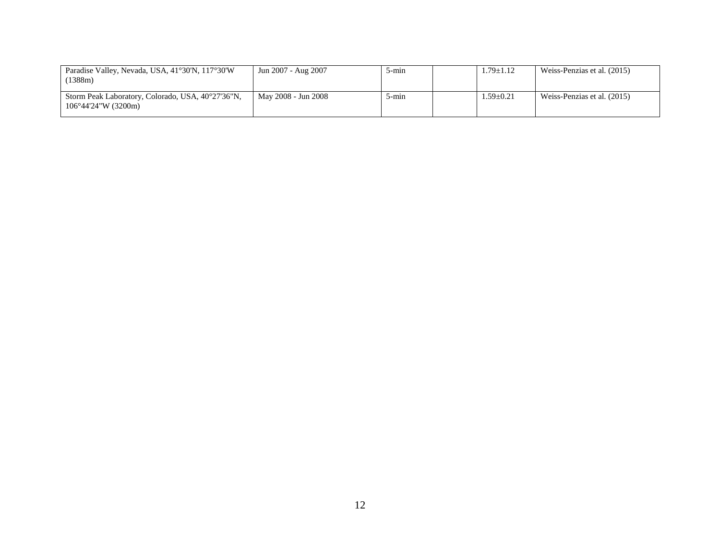| Paradise Valley, Nevada, USA, 41°30'N, 117°30'W<br>(1388m)                        | Jun 2007 - Aug 2007 | 5-mın | $1.79 \pm 1.12$ | Weiss-Penzias et al. (2015) |
|-----------------------------------------------------------------------------------|---------------------|-------|-----------------|-----------------------------|
| Storm Peak Laboratory, Colorado, USA, 40°27'36"N,<br>$106^{\circ}44'24''W(3200m)$ | May 2008 - Jun 2008 | 5-min | $1.59 \pm 0.21$ | Weiss-Penzias et al. (2015) |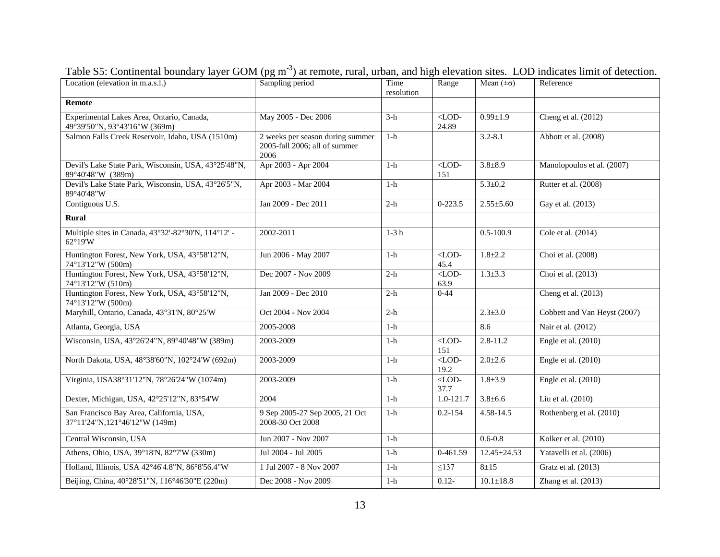| Location (elevation in m.a.s.l.)                                           | Sampling period                                                           | Time<br>resolution | Range                 | Mean $(\pm \sigma)$ | Reference                    |
|----------------------------------------------------------------------------|---------------------------------------------------------------------------|--------------------|-----------------------|---------------------|------------------------------|
| <b>Remote</b>                                                              |                                                                           |                    |                       |                     |                              |
| Experimental Lakes Area, Ontario, Canada,<br>49°39'50"N, 93°43'16"W (369m) | May 2005 - Dec 2006                                                       | $3-h$              | $<$ LOD-<br>24.89     | $0.99 \pm 1.9$      | Cheng et al. (2012)          |
| Salmon Falls Creek Reservoir, Idaho, USA (1510m)                           | 2 weeks per season during summer<br>2005-fall 2006; all of summer<br>2006 | $1-h$              |                       | $3.2 - 8.1$         | Abbott et al. (2008)         |
| Devil's Lake State Park, Wisconsin, USA, 43°25'48"N,<br>89°40'48"W (389m)  | Apr 2003 - Apr 2004                                                       | $1-h$              | $<$ LOD-<br>151       | $3.8 + 8.9$         | Manolopoulos et al. (2007)   |
| Devil's Lake State Park, Wisconsin, USA, 43°26'5"N,<br>89°40'48"W          | Apr 2003 - Mar 2004                                                       | $1-h$              |                       | $5.3 \pm 0.2$       | Rutter et al. (2008)         |
| Contiguous U.S.                                                            | Jan 2009 - Dec 2011                                                       | $2-h$              | $0-223.5$             | $2.55 \pm 5.60$     | Gay et al. (2013)            |
| <b>Rural</b>                                                               |                                                                           |                    |                       |                     |                              |
| Multiple sites in Canada, 43°32'-82°30'N, 114°12' -<br>62°19'W             | 2002-2011                                                                 | $1-3h$             |                       | $0.5 - 100.9$       | Cole et al. (2014)           |
| Huntington Forest, New York, USA, 43°58'12"N,<br>74°13'12"W (500m)         | Jun 2006 - May 2007                                                       | $1-h$              | $<$ LOD-<br>45.4      | $1.8 \pm 2.2$       | Choi et al. (2008)           |
| Huntington Forest, New York, USA, 43°58'12"N,<br>74°13'12"W (510m)         | Dec 2007 - Nov 2009                                                       | $2-h$              | $<$ LOD-<br>63.9      | $1.3 \pm 3.3$       | Choi et al. (2013)           |
| Huntington Forest, New York, USA, 43°58'12"N,<br>74°13'12"W (500m)         | Jan 2009 - Dec 2010                                                       | $2-h$              | $0 - 44$              |                     | Cheng et al. (2013)          |
| Maryhill, Ontario, Canada, 43°31'N, 80°25'W                                | Oct 2004 - Nov 2004                                                       | $2-h$              |                       | $2.3 \pm 3.0$       | Cobbett and Van Heyst (2007) |
| Atlanta, Georgia, USA                                                      | 2005-2008                                                                 | $1-h$              |                       | 8.6                 | Nair et al. (2012)           |
| Wisconsin, USA, 43°26'24"N, 89°40'48"W (389m)                              | 2003-2009                                                                 | $1-h$              | $\langle$ LOD-<br>151 | $2.8 - 11.2$        | Engle et al. (2010)          |
| North Dakota, USA, 48°38'60"N, 102°24'W (692m)                             | 2003-2009                                                                 | $1-h$              | $<$ LOD-<br>19.2      | $2.0 \pm 2.6$       | Engle et al. $(2010)$        |
| Virginia, USA38°31'12"N, 78°26'24"W (1074m)                                | 2003-2009                                                                 | $1-h$              | $<$ LOD-<br>37.7      | $1.8 + 3.9$         | Engle et al. $(2010)$        |
| Dexter, Michigan, USA, 42°25'12"N, 83°54'W                                 | 2004                                                                      | $1-h$              | 1.0-121.7             | $3.8 \pm 6.6$       | Liu et al. (2010)            |
| San Francisco Bay Area, California, USA,<br>37°11'24"N,121°46'12"W (149m)  | 9 Sep 2005-27 Sep 2005, 21 Oct<br>2008-30 Oct 2008                        | $1-h$              | $0.2 - 154$           | $4.58 - 14.5$       | Rothenberg et al. (2010)     |
| Central Wisconsin, USA                                                     | Jun 2007 - Nov 2007                                                       | $1-h$              |                       | $0.6 - 0.8$         | Kolker et al. (2010)         |
| Athens, Ohio, USA, 39°18'N, 82°7'W (330m)                                  | Jul 2004 - Jul 2005                                                       | $1-h$              | 0-461.59              | $12.45 \pm 24.53$   | Yatavelli et al. (2006)      |
| Holland, Illinois, USA 42°46'4.8"N, 86°8'56.4"W                            | 1 Jul 2007 - 8 Nov 2007                                                   | $1-h$              | $\overline{\leq}137$  | $8 + 15$            | Gratz et al. (2013)          |
| Beijing, China, 40°28'51"N, 116°46'30"E (220m)                             | Dec 2008 - Nov 2009                                                       | $1-h$              | $0.12 -$              | $10.1 \pm 18.8$     | Zhang et al. $(2013)$        |

Table S5: Continental boundary layer GOM (pg m<sup>-3</sup>) at remote, rural, urban, and high elevation sites. LOD indicates limit of detection.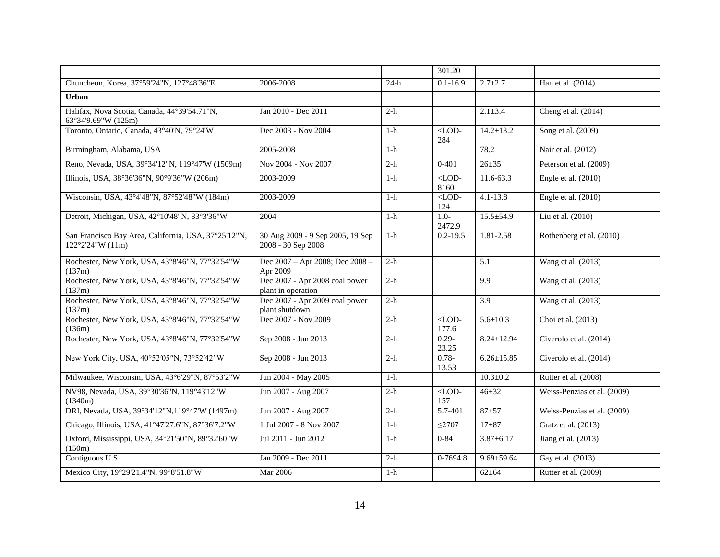|                                                                                   |                                                        |        | 301.20                         |                  |                             |
|-----------------------------------------------------------------------------------|--------------------------------------------------------|--------|--------------------------------|------------------|-----------------------------|
| Chuncheon, Korea, 37°59'24"N, 127°48'36"E                                         | 2006-2008                                              | $24-h$ | $0.1 - 16.9$                   | $2.7 + 2.7$      | Han et al. (2014)           |
| <b>Urban</b>                                                                      |                                                        |        |                                |                  |                             |
| Halifax, Nova Scotia, Canada, 44°39'54.71"N,<br>63°34'9.69"W (125m)               | Jan 2010 - Dec 2011                                    | $2-h$  |                                | $2.1 \pm 3.4$    | Cheng et al. $(2014)$       |
| Toronto, Ontario, Canada, 43°40'N, 79°24'W                                        | Dec 2003 - Nov 2004                                    | $1-h$  | $<$ LOD-<br>284                | $14.2 \pm 13.2$  | Song et al. (2009)          |
| Birmingham, Alabama, USA                                                          | 2005-2008                                              | $1-h$  |                                | 78.2             | Nair et al. (2012)          |
| Reno, Nevada, USA, 39°34'12"N, 119°47'W (1509m)                                   | Nov 2004 - Nov 2007                                    | $2-h$  | $0 - 401$                      | $26 \pm 35$      | Peterson et al. (2009)      |
| Illinois, USA, 38°36'36"N, 90°9'36"W (206m)                                       | 2003-2009                                              | $1-h$  | $<$ LOD-<br>8160               | 11.6-63.3        | Engle et al. $(2010)$       |
| Wisconsin, USA, 43°4'48"N, 87°52'48"W (184m)                                      | 2003-2009                                              | $1-h$  | $<$ LOD-<br>124                | $4.1 - 13.8$     | Engle et al. $(2010)$       |
| Detroit, Michigan, USA, 42°10'48"N, 83°3'36"W                                     | 2004                                                   | $1-h$  | $1.0 -$<br>2472.9              | $15.5 \pm 54.9$  | Liu et al. (2010)           |
| San Francisco Bay Area, California, USA, 37°25'12"N,<br>$122^{\circ}2'24''W(11m)$ | 30 Aug 2009 - 9 Sep 2005, 19 Sep<br>2008 - 30 Sep 2008 | $1-h$  | $0.2 - 19.5$                   | 1.81-2.58        | Rothenberg et al. (2010)    |
| Rochester, New York, USA, 43°8'46"N, 77°32'54"W<br>(137m)                         | Dec 2007 - Apr 2008; Dec 2008 -<br>Apr 2009            | $2-h$  |                                | 5.1              | Wang et al. (2013)          |
| Rochester, New York, USA, 43°8'46"N, 77°32'54"W<br>(137m)                         | Dec 2007 - Apr 2008 coal power<br>plant in operation   | $2-h$  |                                | 9.9              | Wang et al. (2013)          |
| Rochester, New York, USA, 43°8'46"N, 77°32'54"W<br>(137m)                         | Dec 2007 - Apr 2009 coal power<br>plant shutdown       | $2-h$  |                                | 3.9              | Wang et al. (2013)          |
| Rochester, New York, USA, 43°8'46"N, 77°32'54"W<br>(136m)                         | Dec 2007 - Nov 2009                                    | $2-h$  | $<$ LOD-<br>177.6              | $5.6 \pm 10.3$   | Choi et al. (2013)          |
| Rochester, New York, USA, 43°8'46"N, 77°32'54"W                                   | Sep 2008 - Jun 2013                                    | $2-h$  | $0.29 -$<br>23.25              | $8.24 \pm 12.94$ | Civerolo et al. (2014)      |
| New York City, USA, 40°52'05"N, 73°52'42"W                                        | Sep 2008 - Jun 2013                                    | $2-h$  | $0.78 -$<br>13.53              | $6.26 \pm 15.85$ | Civerolo et al. (2014)      |
| Milwaukee, Wisconsin, USA, 43°6'29"N, 87°53'2"W                                   | Jun 2004 - May 2005                                    | $1-h$  |                                | $10.3 \pm 0.2$   | Rutter et al. (2008)        |
| NV98, Nevada, USA, 39°30'36"N, 119°43'12"W<br>(1340m)                             | Jun 2007 - Aug 2007                                    | $2-h$  | $\overline{\text{LOD}}$<br>157 | $46 + 32$        | Weiss-Penzias et al. (2009) |
| DRI, Nevada, USA, 39°34'12"N, 119°47'W (1497m)                                    | Jun 2007 - Aug 2007                                    | $2-h$  | 5.7-401                        | $87 + 57$        | Weiss-Penzias et al. (2009) |
| Chicago, Illinois, USA, 41°47'27.6"N, 87°36'7.2"W                                 | 1 Jul 2007 - 8 Nov 2007                                | $1-h$  | $\leq$ 2707                    | $17 + 87$        | Gratz et al. (2013)         |
| Oxford, Mississippi, USA, 34°21'50"N, 89°32'60"W<br>(150m)                        | Jul 2011 - Jun 2012                                    | $1-h$  | $0 - 84$                       | $3.87 \pm 6.17$  | Jiang et al. $(2013)$       |
| Contiguous U.S.                                                                   | Jan 2009 - Dec 2011                                    | $2-h$  | 0-7694.8                       | $9.69 \pm 59.64$ | Gay et al. (2013)           |
| Mexico City, 19°29'21.4"N, 99°8'51.8"W                                            | Mar 2006                                               | $1-h$  |                                | $62 + 64$        | Rutter et al. (2009)        |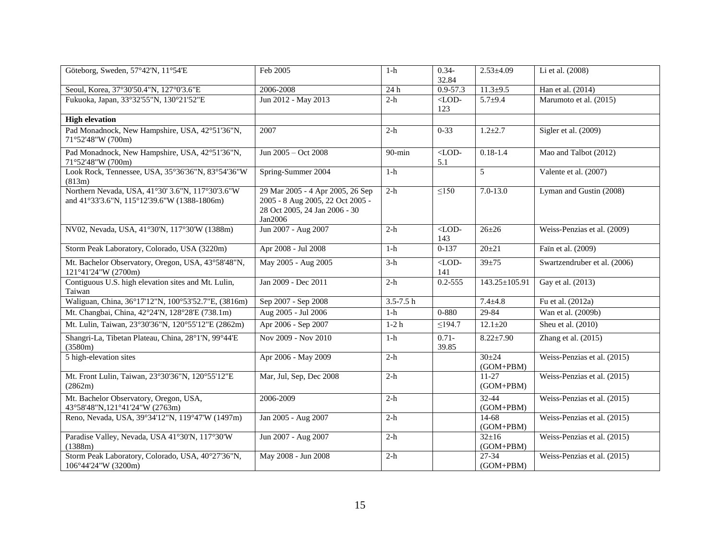| Göteborg, Sweden, 57°42'N, 11°54'E                                                              | Feb 2005                                                                                                         | $1-h$         | $0.34 -$<br>32.84     | $2.53 \pm 4.09$            | Li et al. (2008)             |
|-------------------------------------------------------------------------------------------------|------------------------------------------------------------------------------------------------------------------|---------------|-----------------------|----------------------------|------------------------------|
| Seoul, Korea, 37°30'50.4"N, 127°0'3.6"E                                                         | 2006-2008                                                                                                        | 24 h          | $0.9 - 57.3$          | $11.3 \pm 9.5$             | Han et al. (2014)            |
| Fukuoka, Japan, 33°32'55"N, 130°21'52"E                                                         | Jun 2012 - May 2013                                                                                              | $2-h$         | $\langle$ LOD-<br>123 | $5.7 + 9.4$                | Marumoto et al. (2015)       |
| <b>High elevation</b>                                                                           |                                                                                                                  |               |                       |                            |                              |
| Pad Monadnock, New Hampshire, USA, 42°51'36"N,<br>71°52'48"W (700m)                             | 2007                                                                                                             | $2-h$         | $0 - 33$              | $1.2 \pm 2.7$              | Sigler et al. $(2009)$       |
| Pad Monadnock, New Hampshire, USA, 42°51'36"N,<br>71°52'48"W (700m)                             | Jun 2005 – Oct 2008                                                                                              | $90$ -min     | $<$ LOD-<br>5.1       | $0.18 - 1.4$               | Mao and Talbot (2012)        |
| Look Rock, Tennessee, USA, 35°36'36"N, 83°54'36"W<br>(813m)                                     | Spring-Summer 2004                                                                                               | $1-h$         |                       | 5                          | Valente et al. (2007)        |
| Northern Nevada, USA, 41°30' 3.6"N, 117°30'3.6"W<br>and 41°33'3.6"N, 115°12'39.6"W (1388-1806m) | 29 Mar 2005 - 4 Apr 2005, 26 Sep<br>2005 - 8 Aug 2005, 22 Oct 2005 -<br>28 Oct 2005, 24 Jan 2006 - 30<br>Jan2006 | $2-h$         | $\leq150$             | $7.0 - 13.0$               | Lyman and Gustin (2008)      |
| NV02, Nevada, USA, 41°30'N, 117°30'W (1388m)                                                    | Jun 2007 - Aug 2007                                                                                              | $2-h$         | $<$ LOD-<br>143       | $26 + 26$                  | Weiss-Penzias et al. (2009)  |
| Storm Peak Laboratory, Colorado, USA (3220m)                                                    | Apr 2008 - Jul 2008                                                                                              | $1-h$         | $0-137$               | $20 \pm 21$                | Faïn et al. (2009)           |
| Mt. Bachelor Observatory, Oregon, USA, 43°58'48"N,<br>121°41'24"W (2700m)                       | May 2005 - Aug 2005                                                                                              | $3-h$         | $\langle$ LOD-<br>141 | $39 \pm 75$                | Swartzendruber et al. (2006) |
| Contiguous U.S. high elevation sites and Mt. Lulin,<br>Taiwan                                   | Jan 2009 - Dec 2011                                                                                              | $2-h$         | $0.2 - 555$           | $143.25 \pm 105.91$        | Gay et al. (2013)            |
| Waliguan, China, 36°17'12"N, 100°53'52.7"E, (3816m)                                             | Sep 2007 - Sep 2008                                                                                              | $3.5 - 7.5 h$ |                       | $7.4 \pm 4.8$              | Fu et al. (2012a)            |
| Mt. Changbai, China, 42°24'N, 128°28'E (738.1m)                                                 | Aug 2005 - Jul 2006                                                                                              | $1-h$         | $0 - 880$             | 29-84                      | Wan et al. (2009b)           |
| Mt. Lulin, Taiwan, 23°30'36"N, 120°55'12"E (2862m)                                              | Apr 2006 - Sep 2007                                                                                              | $1-2h$        | $\leq$ 194.7          | $12.1 \pm 20$              | Sheu et al. (2010)           |
| Shangri-La, Tibetan Plateau, China, 28°1'N, 99°44'E<br>(3580m)                                  | Nov 2009 - Nov 2010                                                                                              | $1-h$         | $0.71 -$<br>39.85     | $8.22 \pm 7.90$            | Zhang et al. (2015)          |
| 5 high-elevation sites                                                                          | Apr 2006 - May 2009                                                                                              | $2-h$         |                       | $30 \pm 24$<br>$(GOM+PBM)$ | Weiss-Penzias et al. (2015)  |
| Mt. Front Lulin, Taiwan, 23°30'36"N, 120°55'12"E<br>(2862m)                                     | Mar, Jul, Sep, Dec 2008                                                                                          | $2-h$         |                       | $11-27$<br>$(GOM+PBM)$     | Weiss-Penzias et al. (2015)  |
| Mt. Bachelor Observatory, Oregon, USA,<br>43°58'48"N,121°41'24"W (2763m)                        | 2006-2009                                                                                                        | $2-h$         |                       | $32 - 44$<br>$(GOM+PBM)$   | Weiss-Penzias et al. (2015)  |
| Reno, Nevada, USA, 39°34'12"N, 119°47'W (1497m)                                                 | Jan 2005 - Aug 2007                                                                                              | $2-h$         |                       | 14-68<br>$(GOM+PBM)$       | Weiss-Penzias et al. (2015)  |
| Paradise Valley, Nevada, USA 41°30'N, 117°30'W<br>(1388m)                                       | Jun 2007 - Aug 2007                                                                                              | $2-h$         |                       | $32 \pm 16$<br>$(GOM+PBM)$ | Weiss-Penzias et al. (2015)  |
| Storm Peak Laboratory, Colorado, USA, 40°27'36"N,<br>106°44'24"W (3200m)                        | May 2008 - Jun 2008                                                                                              | $2-h$         |                       | 27-34<br>$(GOM+PBM)$       | Weiss-Penzias et al. (2015)  |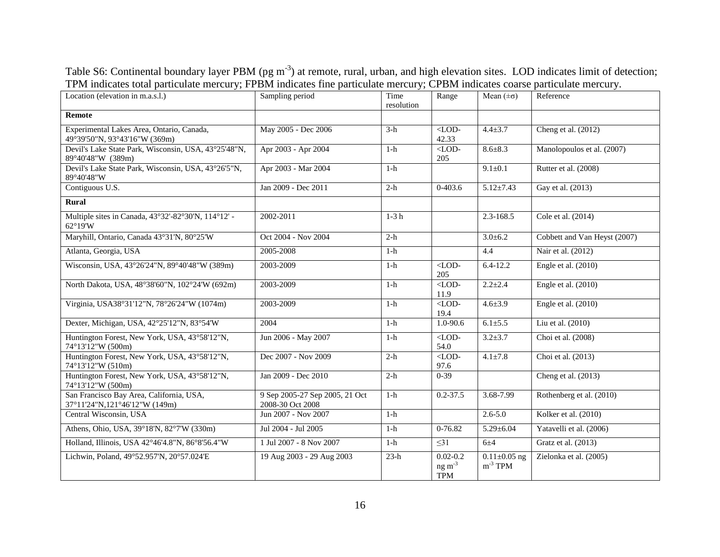| Table S6: Continental boundary layer PBM ( $pg \, m^{-3}$ ) at remote, rural, urban, and high elevation sites. LOD indicates limit of detection; |  |  |
|--------------------------------------------------------------------------------------------------------------------------------------------------|--|--|
| TPM indicates total particulate mercury; FPBM indicates fine particulate mercury; CPBM indicates coarse particulate mercury.                     |  |  |

| Location (elevation in m.a.s.l.)                                           | Sampling period                                    | Time<br>resolution | Range<br>Mean $(\pm \sigma)$           |                                    | Reference                    |
|----------------------------------------------------------------------------|----------------------------------------------------|--------------------|----------------------------------------|------------------------------------|------------------------------|
| <b>Remote</b>                                                              |                                                    |                    |                                        |                                    |                              |
| Experimental Lakes Area, Ontario, Canada,<br>49°39'50"N, 93°43'16"W (369m) | May 2005 - Dec 2006                                | $3-h$              | $<$ LOD-<br>42.33                      | $4.4 \pm 3.7$                      | Cheng et al. (2012)          |
| Devil's Lake State Park, Wisconsin, USA, 43°25'48"N,<br>89°40'48"W (389m)  | Apr 2003 - Apr 2004                                | $1-h$              | $<$ LOD-<br>205                        | $8.6 \pm 8.3$                      | Manolopoulos et al. (2007)   |
| Devil's Lake State Park, Wisconsin, USA, 43°26'5"N,<br>89°40'48"W          | Apr 2003 - Mar 2004                                | $1-h$              |                                        | $9.1 \pm 0.1$                      | Rutter et al. (2008)         |
| Contiguous U.S.                                                            | Jan 2009 - Dec 2011                                | $2-h$              | $0-403.6$                              | $5.12 \pm 7.43$                    | Gay et al. (2013)            |
| <b>Rural</b>                                                               |                                                    |                    |                                        |                                    |                              |
| Multiple sites in Canada, 43°32'-82°30'N, 114°12' -<br>62°19'W             | $2002 - 2011$                                      | $1-3h$             |                                        | 2.3-168.5                          | Cole et al. (2014)           |
| Maryhill, Ontario, Canada 43°31'N, 80°25'W                                 | Oct 2004 - Nov 2004                                | $2-h$              |                                        | $3.0 \pm 6.2$                      | Cobbett and Van Heyst (2007) |
| Atlanta, Georgia, USA                                                      | 2005-2008                                          | $1-h$              |                                        | 4.4                                | Nair et al. (2012)           |
| Wisconsin, USA, 43°26'24"N, 89°40'48"W (389m)                              | 2003-2009                                          | $1-h$              | $<$ LOD-<br>205                        | $6.4 - 12.2$                       | Engle et al. (2010)          |
| North Dakota, USA, 48°38'60"N, 102°24'W (692m)                             | 2003-2009                                          | $1-h$              | $<$ LOD-<br>11.9                       | $2.2 + 2.4$                        | Engle et al. (2010)          |
| Virginia, USA38°31'12"N, 78°26'24"W (1074m)                                | 2003-2009                                          | $1-h$              | $<$ LOD-<br>19.4                       | $4.6 \pm 3.9$                      | Engle et al. $(2010)$        |
| Dexter, Michigan, USA, 42°25'12"N, 83°54'W                                 | 2004                                               | $1-h$              | 1.0-90.6                               | $6.1 \pm 5.5$                      | Liu et al. (2010)            |
| Huntington Forest, New York, USA, 43°58'12"N,<br>74°13'12"W (500m)         | Jun 2006 - May 2007                                | $1-h$              | $<$ LOD-<br>54.0                       | $3.2 \pm 3.7$                      | Choi et al. (2008)           |
| Huntington Forest, New York, USA, 43°58'12"N,<br>74°13'12"W (510m)         | Dec 2007 - Nov 2009                                | $2-h$              | $\overline{\text{LOD}}$<br>97.6        | $4.1 \pm 7.8$                      | Choi et al. (2013)           |
| Huntington Forest, New York, USA, 43°58'12"N,<br>74°13'12"W (500m)         | Jan 2009 - Dec 2010                                | $2-h$              | $0 - 39$                               |                                    | Cheng et al. $(2013)$        |
| San Francisco Bay Area, California, USA,<br>37°11'24"N,121°46'12"W (149m)  | 9 Sep 2005-27 Sep 2005, 21 Oct<br>2008-30 Oct 2008 | $1-h$              | $0.2 - 37.5$                           | 3.68-7.99                          | Rothenberg et al. (2010)     |
| Central Wisconsin, USA                                                     | Jun 2007 - Nov 2007                                | $1-h$              |                                        | $2.6 - 5.0$                        | Kolker et al. (2010)         |
| Athens, Ohio, USA, 39°18'N, 82°7'W (330m)                                  | Jul 2004 - Jul 2005                                | $1-h$              | 0-76.82                                | $5.29 \pm 6.04$                    | Yatavelli et al. (2006)      |
| Holland, Illinois, USA 42°46'4.8"N, 86°8'56.4"W                            | 1 Jul 2007 - 8 Nov 2007                            | $1-h$              | $\leq$ 31                              | 6±4                                | Gratz et al. (2013)          |
| Lichwin, Poland, 49°52.957'N, 20°57.024'E                                  | 19 Aug 2003 - 29 Aug 2003                          | $23-h$             | $0.02 - 0.2$<br>ng m $3$<br><b>TPM</b> | $0.11 \pm 0.05$ ng<br>$m^{-3}$ TPM | Zielonka et al. (2005)       |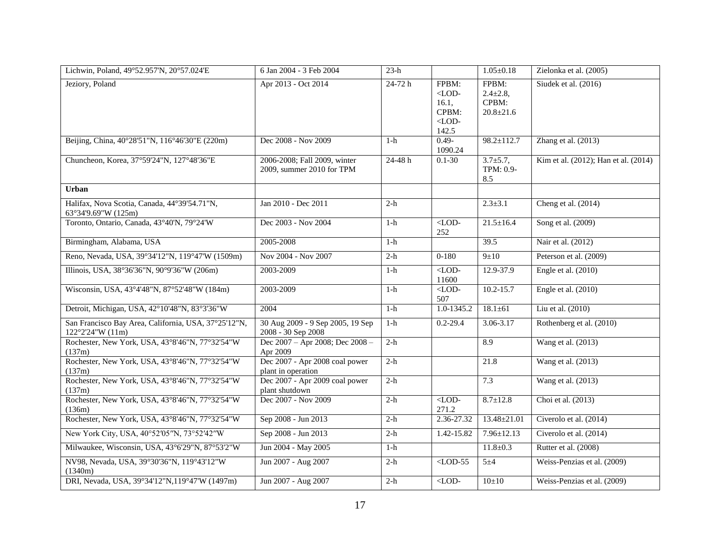| Lichwin, Poland, 49°52.957'N, 20°57.024'E                                         | 6 Jan 2004 - 3 Feb 2004                                   | $23-h$      |                                                          | $1.05 \pm 0.18$                                      | Zielonka et al. (2005)               |
|-----------------------------------------------------------------------------------|-----------------------------------------------------------|-------------|----------------------------------------------------------|------------------------------------------------------|--------------------------------------|
| Jeziory, Poland                                                                   | Apr 2013 - Oct 2014                                       | 24-72 h     | FPBM:<br>$<$ LOD-<br>16.1,<br>CPBM:<br>$<$ LOD-<br>142.5 | FPBM:<br>$2.4 \pm 2.8$ ,<br>CPBM:<br>$20.8 \pm 21.6$ | Siudek et al. (2016)                 |
| Beijing, China, 40°28'51"N, 116°46'30"E (220m)                                    | Dec 2008 - Nov 2009                                       | $1-h$       | $0.49 -$<br>1090.24                                      | $98.2 \pm 112.7$                                     | Zhang et al. (2013)                  |
| Chuncheon, Korea, 37°59'24"N, 127°48'36"E                                         | 2006-2008; Fall 2009, winter<br>2009, summer 2010 for TPM | $24 - 48 h$ | $0.1 - 30$                                               | $3.7 \pm 5.7$ ,<br>TPM: 0.9-<br>8.5                  | Kim et al. (2012); Han et al. (2014) |
| Urban                                                                             |                                                           |             |                                                          |                                                      |                                      |
| Halifax, Nova Scotia, Canada, 44°39'54.71"N,<br>63°34'9.69"W (125m)               | Jan 2010 - Dec 2011                                       | $2-h$       |                                                          | $2.3 \pm 3.1$                                        | Cheng et al. (2014)                  |
| Toronto, Ontario, Canada, 43°40'N, 79°24'W                                        | Dec 2003 - Nov 2004                                       | $1-h$       | $<$ LOD-<br>252                                          | $21.5 \pm 16.4$                                      | Song et al. (2009)                   |
| Birmingham, Alabama, USA                                                          | 2005-2008                                                 | $1-h$       |                                                          | 39.5                                                 | Nair et al. (2012)                   |
| Reno, Nevada, USA, 39°34'12"N, 119°47'W (1509m)                                   | Nov 2004 - Nov 2007                                       | $2-h$       | $0 - 180$                                                | 9±10                                                 | Peterson et al. (2009)               |
| Illinois, USA, 38°36'36"N, 90°9'36"W (206m)                                       | 2003-2009                                                 | $1-h$       | $<$ LOD-<br>11600                                        | 12.9-37.9                                            | Engle et al. (2010)                  |
| Wisconsin, USA, 43°4'48"N, 87°52'48"W (184m)                                      | 2003-2009                                                 | $1-h$       | $\overline{\text{LOD}}$<br>507                           | $10.2 - 15.7$                                        | Engle et al. (2010)                  |
| Detroit, Michigan, USA, 42°10'48"N, 83°3'36"W                                     | 2004                                                      | $1-h$       | 1.0-1345.2                                               | $18.1 \pm 61$                                        | Liu et al. (2010)                    |
| San Francisco Bay Area, California, USA, 37°25'12"N,<br>$122^{\circ}2'24''W(11m)$ | 30 Aug 2009 - 9 Sep 2005, 19 Sep<br>2008 - 30 Sep 2008    | $1-h$       | $0.2 - 29.4$                                             | $3.06 - 3.17$                                        | Rothenberg et al. (2010)             |
| Rochester, New York, USA, 43°8'46"N, 77°32'54"W<br>(137m)                         | Dec 2007 - Apr 2008; Dec 2008 -<br>Apr 2009               | $2-h$       |                                                          | 8.9                                                  | Wang et al. (2013)                   |
| Rochester, New York, USA, 43°8'46"N, 77°32'54"W<br>(137m)                         | Dec 2007 - Apr 2008 coal power<br>plant in operation      | $2-h$       |                                                          | 21.8                                                 | Wang et al. $(2013)$                 |
| Rochester, New York, USA, 43°8'46"N, 77°32'54"W<br>(137m)                         | Dec 2007 - Apr 2009 coal power<br>plant shutdown          | $2-h$       |                                                          | 7.3                                                  | Wang et al. (2013)                   |
| Rochester, New York, USA, 43°8'46"N, 77°32'54"W<br>(136m)                         | Dec 2007 - Nov 2009                                       | $2-h$       | $\overline{\text{QCD}}$<br>271.2                         | $8.7 \pm 12.8$                                       | Choi et al. (2013)                   |
| Rochester, New York, USA, 43°8'46"N, 77°32'54"W                                   | Sep 2008 - Jun 2013                                       | $2-h$       | 2.36-27.32                                               | $13.48 \pm 21.01$                                    | Civerolo et al. (2014)               |
| New York City, USA, 40°52'05"N, 73°52'42"W                                        | Sep 2008 - Jun 2013                                       | $2-h$       | 1.42-15.82                                               | $7.96 \pm 12.13$                                     | Civerolo et al. (2014)               |
| Milwaukee, Wisconsin, USA, 43°6'29"N, 87°53'2"W                                   | Jun 2004 - May 2005                                       | $1-h$       |                                                          | $11.8 \pm 0.3$                                       | Rutter et al. (2008)                 |
| NV98, Nevada, USA, 39°30'36"N, 119°43'12"W<br>(1340m)                             | Jun 2007 - Aug 2007                                       | $2-h$       | $<$ LOD-55                                               | $5\pm4$                                              | Weiss-Penzias et al. (2009)          |
| DRI, Nevada, USA, 39°34'12"N, 119°47'W (1497m)                                    | Jun 2007 - Aug 2007                                       | $2-h$       | $\overline{\text{LOD}}$                                  | 10±10                                                | Weiss-Penzias et al. (2009)          |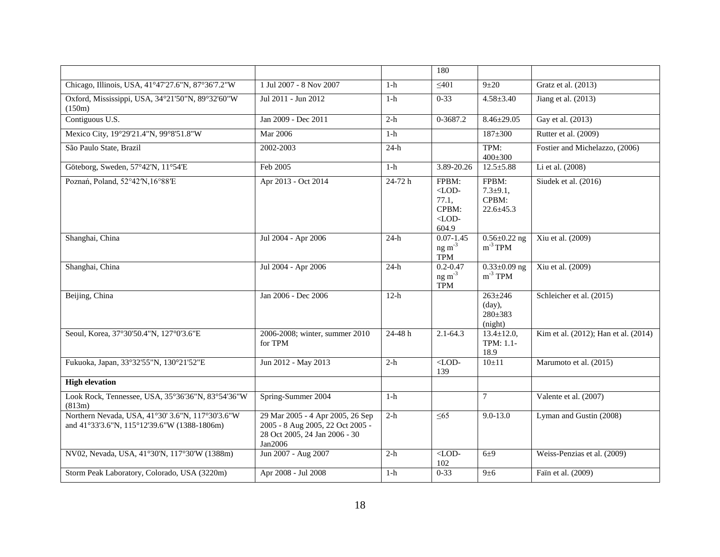|                                                                                                 |                                                                                                                  |            | 180                                                            |                                                      |                                      |
|-------------------------------------------------------------------------------------------------|------------------------------------------------------------------------------------------------------------------|------------|----------------------------------------------------------------|------------------------------------------------------|--------------------------------------|
| Chicago, Illinois, USA, 41°47'27.6"N, 87°36'7.2"W                                               | 1 Jul 2007 - 8 Nov 2007                                                                                          | $1-h$      | $\leq 401$                                                     | $9\pm20$                                             | Gratz et al. (2013)                  |
| Oxford, Mississippi, USA, 34°21'50"N, 89°32'60"W<br>(150m)                                      | Jul 2011 - Jun 2012                                                                                              | $1-h$      | $0 - 33$                                                       | $4.58 \pm 3.40$                                      | Jiang et al. (2013)                  |
| Contiguous U.S.                                                                                 | Jan 2009 - Dec 2011                                                                                              | $2-h$      | 0-3687.2                                                       | $8.46 \pm 29.05$                                     | Gay et al. (2013)                    |
| Mexico City, 19°29'21.4"N, 99°8'51.8"W                                                          | <b>Mar 2006</b>                                                                                                  | $1-h$      |                                                                | $187 + 300$                                          | Rutter et al. (2009)                 |
| São Paulo State, Brazil                                                                         | 2002-2003                                                                                                        | $24-h$     |                                                                | TPM:<br>$400 \pm 300$                                | Fostier and Michelazzo, (2006)       |
| Göteborg, Sweden, 57°42'N, 11°54'E                                                              | Feb 2005                                                                                                         | $1-h$      | 3.89-20.26                                                     | $12.5 \pm 5.88$                                      | Li et al. (2008)                     |
| Poznań, Poland, 52°42'N,16°88'E                                                                 | Apr 2013 - Oct 2014                                                                                              | $24-72h$   | FPBM:<br>$\langle$ LOD-<br>77.1,<br>CPBM:<br>$<$ LOD-<br>604.9 | FPBM:<br>$7.3 \pm 9.1$ ,<br>CPBM:<br>$22.6 \pm 45.3$ | Siudek et al. (2016)                 |
| Shanghai, China                                                                                 | Jul 2004 - Apr 2006                                                                                              | $24-h$     | $0.07 - 1.45$<br>$ng m-3$<br><b>TPM</b>                        | $0.56 \pm 0.22$ ng<br>$m^{-3}$ TPM                   | Xiu et al. (2009)                    |
| Shanghai, China                                                                                 | Jul 2004 - Apr 2006                                                                                              | $24-h$     | $0.2 - 0.47$<br>$ng m-3$<br>TPM                                | $0.33 \pm 0.09$ ng<br>$m^{-3}$ TPM                   | Xiu et al. (2009)                    |
| Beijing, China                                                                                  | Jan 2006 - Dec 2006                                                                                              | $12-h$     |                                                                | $263 \pm 246$<br>(day),<br>$280 \pm 383$<br>(night)  | Schleicher et al. (2015)             |
| Seoul, Korea, 37°30'50.4"N, 127°0'3.6"E                                                         | 2006-2008; winter, summer 2010<br>for TPM                                                                        | $24 - 48h$ | $2.1 - 64.3$                                                   | $13.4 \pm 12.0$ ,<br>TPM: 1.1-<br>18.9               | Kim et al. (2012); Han et al. (2014) |
| Fukuoka, Japan, 33°32'55"N, 130°21'52"E                                                         | Jun 2012 - May 2013                                                                                              | $2-h$      | $<$ LOD-<br>139                                                | 10±11                                                | Marumoto et al. (2015)               |
| <b>High elevation</b>                                                                           |                                                                                                                  |            |                                                                |                                                      |                                      |
| Look Rock, Tennessee, USA, 35°36'36"N, 83°54'36"W<br>(813m)                                     | Spring-Summer 2004                                                                                               | $1-h$      |                                                                | 7                                                    | Valente et al. (2007)                |
| Northern Nevada, USA, 41°30' 3.6"N, 117°30'3.6"W<br>and 41°33'3.6"N, 115°12'39.6"W (1388-1806m) | 29 Mar 2005 - 4 Apr 2005, 26 Sep<br>2005 - 8 Aug 2005, 22 Oct 2005 -<br>28 Oct 2005, 24 Jan 2006 - 30<br>Jan2006 | $2-h$      | $\leq 65$                                                      | $9.0 - 13.0$                                         | Lyman and Gustin (2008)              |
| NV02, Nevada, USA, 41°30'N, 117°30'W (1388m)                                                    | Jun 2007 - Aug 2007                                                                                              | $2-h$      | $<$ LOD-<br>102                                                | $6\pm9$                                              | Weiss-Penzias et al. (2009)          |
| Storm Peak Laboratory, Colorado, USA (3220m)                                                    | Apr 2008 - Jul 2008                                                                                              | $1-h$      | $0 - 33$                                                       | 9±6                                                  | Faïn et al. (2009)                   |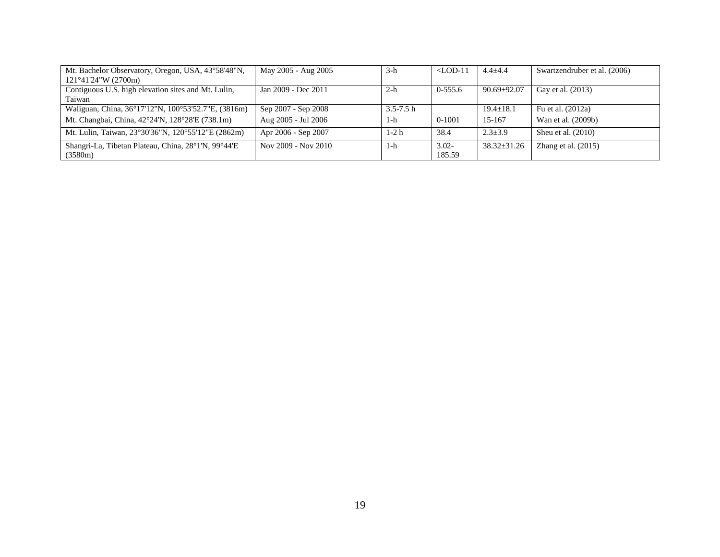| Mt. Bachelor Observatory, Oregon, USA, 43°58'48"N,  | May 2005 - Aug 2005 | $3-h$         | $\langle$ LOD-11 | $4.4 + 4.4$       | Swartzendruber et al. (2006) |
|-----------------------------------------------------|---------------------|---------------|------------------|-------------------|------------------------------|
| $121^{\circ}41'24''W(2700m)$                        |                     |               |                  |                   |                              |
| Contiguous U.S. high elevation sites and Mt. Lulin, | Jan 2009 - Dec 2011 | $2-h$         | $0-555.6$        | $90.69 \pm 92.07$ | Gay et al. (2013)            |
| Taiwan                                              |                     |               |                  |                   |                              |
| Waliguan, China, 36°17'12"N, 100°53'52.7"E, (3816m) | Sep 2007 - Sep 2008 | $3.5 - 7.5$ h |                  | $19.4 \pm 18.1$   | Fu et al. (2012a)            |
| Mt. Changbai, China, 42°24′N, 128°28′E (738.1m)     | Aug 2005 - Jul 2006 | 1-h           | 0-1001           | 15-167            | Wan et al. (2009b)           |
| Mt. Lulin, Taiwan, 23°30'36"N, 120°55'12"E (2862m)  | Apr 2006 - Sep 2007 | 1-2 h         | 38.4             | $2.3 \pm 3.9$     | Sheu et al. $(2010)$         |
| Shangri-La, Tibetan Plateau, China, 28°1'N, 99°44'E | Nov 2009 - Nov 2010 | 1-h           | $3.02 -$         | $38.32 \pm 31.26$ | Zhang et al. $(2015)$        |
| (3580m)                                             |                     |               | 185.59           |                   |                              |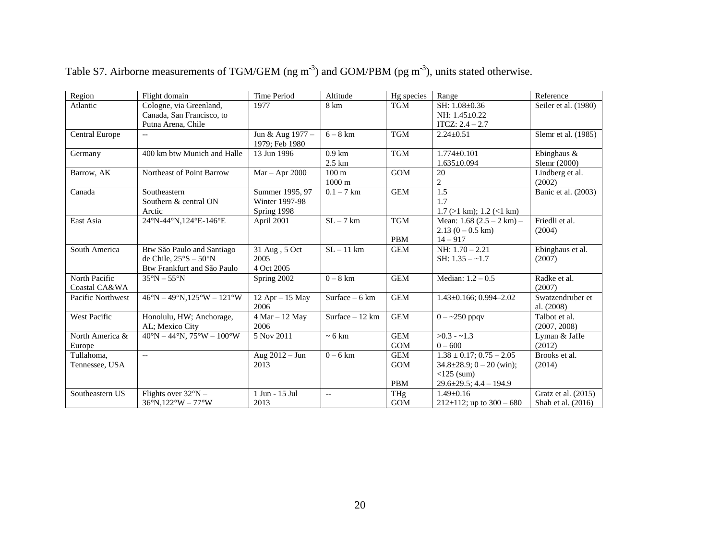| Region              | Flight domain                                              | Time Period        | Altitude                 | Hg species | Range                              | Reference            |
|---------------------|------------------------------------------------------------|--------------------|--------------------------|------------|------------------------------------|----------------------|
| Atlantic            | Cologne, via Greenland,                                    | 1977               | 8 km                     | <b>TGM</b> | SH: 1.08±0.36                      | Seiler et al. (1980) |
|                     | Canada, San Francisco, to                                  |                    |                          |            | NH: 1.45±0.22                      |                      |
|                     | Putna Arena, Chile                                         |                    |                          |            | $ITCZ: 2.4 - 2.7$                  |                      |
| Central Europe      | $\overline{\phantom{a}}$                                   | Jun & Aug 1977 -   | $6 - 8$ km               | <b>TGM</b> | $2.24 \pm 0.51$                    | Slemr et al. (1985)  |
|                     |                                                            | 1979; Feb 1980     |                          |            |                                    |                      |
| Germany             | 400 km btw Munich and Halle                                | 13 Jun 1996        | $0.9$ km                 | <b>TGM</b> | $1.774 \pm 0.101$                  | Ebinghaus &          |
|                     |                                                            |                    | $2.5 \text{ km}$         |            | $1.635 \pm 0.094$                  | Slemr (2000)         |
| Barrow, AK          | Northeast of Point Barrow                                  | $Mar - Apr 2000$   | 100 <sub>m</sub>         | <b>GOM</b> | 20                                 | Lindberg et al.      |
|                     |                                                            |                    | $1000 \text{ m}$         |            | 2                                  | (2002)               |
| Canada              | Southeastern                                               | Summer 1995, 97    | $0.1 - 7$ km             | <b>GEM</b> | 1.5                                | Banic et al. (2003)  |
|                     | Southern & central ON                                      | Winter 1997-98     |                          |            | 1.7                                |                      |
|                     | Arctic                                                     | Spring 1998        |                          |            | $1.7$ ( $>1$ km); $1.2$ ( $<1$ km) |                      |
| East Asia           | 24°N-44°N,124°E-146°E                                      | April 2001         | $SL-7$ km                | <b>TGM</b> | Mean: $1.68$ (2.5 – 2 km) –        | Friedli et al.       |
|                     |                                                            |                    |                          |            | $2.13(0-0.5 \text{ km})$           | (2004)               |
|                     |                                                            |                    |                          | <b>PBM</b> | $14 - 917$                         |                      |
| South America       | Btw São Paulo and Santiago                                 | 31 Aug , 5 Oct     | $SL - 11 km$             | <b>GEM</b> | NH: $1.70 - 2.21$                  | Ebinghaus et al.     |
|                     | de Chile, $25^{\circ}S - 50^{\circ}N$                      | 2005               |                          |            | SH: $1.35 - -1.7$                  | (2007)               |
|                     | Btw Frankfurt and São Paulo                                | 4 Oct 2005         |                          |            |                                    |                      |
| North Pacific       | $35^\circ N - 55^\circ N$                                  | Spring 2002        | $\overline{0} - 8$ km    | <b>GEM</b> | Median: $1.2 - 0.5$                | Radke et al.         |
| Coastal CA&WA       |                                                            |                    |                          |            |                                    | (2007)               |
| Pacific Northwest   | $46^{\circ}N - 49^{\circ}N.125^{\circ}W - 121^{\circ}W$    | $12$ Apr $-15$ May | Surface $-6$ km          | <b>GEM</b> | $1.43 \pm 0.166$ ; 0.994-2.02      | Swatzendruber et     |
|                     |                                                            | 2006               |                          |            |                                    | al. (2008)           |
| <b>West Pacific</b> | Honolulu, HW; Anchorage,                                   | $4$ Mar $-12$ May  | Surface $-12$ km         | <b>GEM</b> | $0 - 250$ ppqv                     | Talbot et al.        |
|                     | AL; Mexico City                                            | 2006               |                          |            |                                    | (2007, 2008)         |
| North America &     | $40^{\circ}N - 44^{\circ}N$ , $75^{\circ}W - 100^{\circ}W$ | 5 Nov 2011         | $\sim 6 \text{ km}$      | <b>GEM</b> | $>0.3 - 1.3$                       | Lyman & Jaffe        |
| Europe              |                                                            |                    |                          | <b>GOM</b> | $0 - 600$                          | (2012)               |
| Tullahoma,          | $\overline{\phantom{a}}$                                   | Aug 2012 - Jun     | $0 - 6$ km               | <b>GEM</b> | $1.38 \pm 0.17$ ; $0.75 - 2.05$    | Brooks et al.        |
| Tennessee, USA      |                                                            | 2013               |                          | <b>GOM</b> | $34.8 \pm 28.9$ ; $0 - 20$ (win);  | (2014)               |
|                     |                                                            |                    |                          |            | $<$ 125 (sum)                      |                      |
|                     |                                                            |                    |                          | <b>PBM</b> | $29.6 \pm 29.5$ ; 4.4 - 194.9      |                      |
| Southeastern US     | Flights over $32^{\circ}N -$                               | 1 Jun - 15 Jul     | $\overline{\phantom{a}}$ | THg        | $1.49 + 0.16$                      | Gratz et al. (2015)  |
|                     | $36^{\circ}$ N.122 $^{\circ}$ W – 77 $^{\circ}$ W          | 2013               |                          | <b>GOM</b> | $212 \pm 112$ ; up to $300 - 680$  | Shah et al. (2016)   |

Table S7. Airborne measurements of TGM/GEM (ng m<sup>-3</sup>) and GOM/PBM (pg m<sup>-3</sup>), units stated otherwise.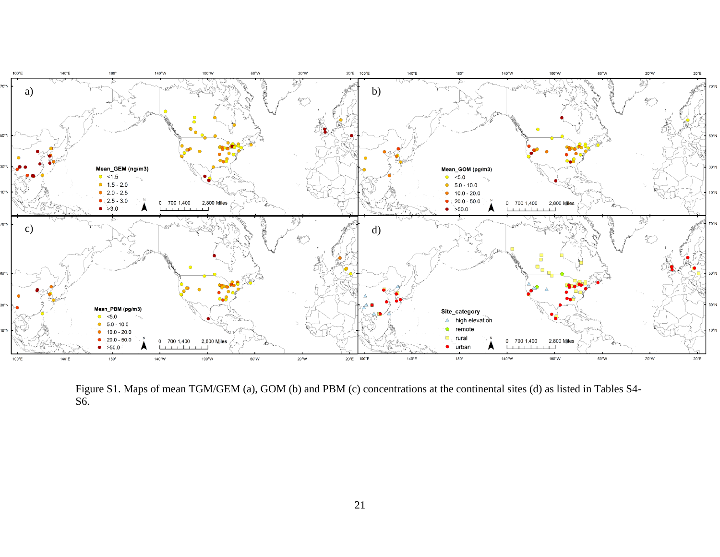

Figure S1. Maps of mean TGM/GEM (a), GOM (b) and PBM (c) concentrations at the continental sites (d) as listed in Tables S4- S6.